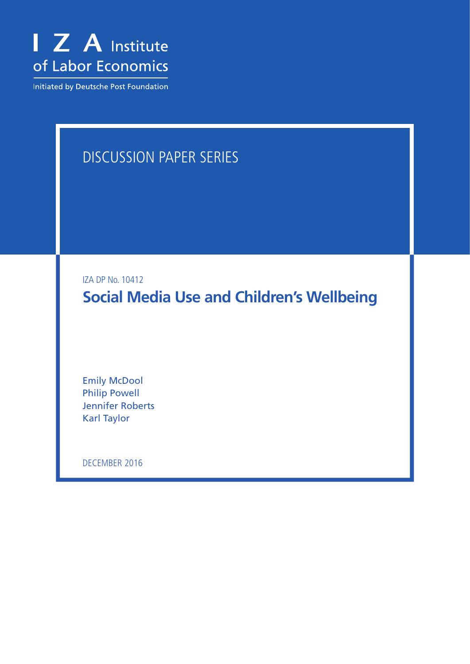

Initiated by Deutsche Post Foundation

# Discussion Paper Series

IZA DP No. 10412

**Social Media Use and Children's Wellbeing**

Emily McDool Philip Powell Jennifer Roberts Karl Taylor

December 2016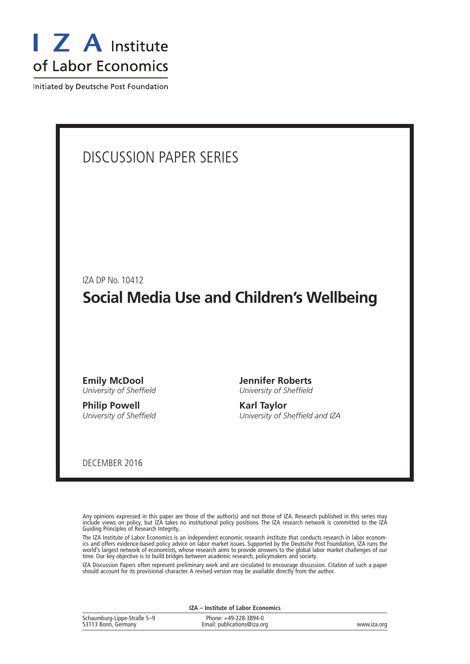

Initiated by Deutsche Post Foundation

### Discussion Paper Series

IZA DP No. 10412

# **Social Media Use and Children's Wellbeing**

**Emily McDool** *University of Sheffield*

**Philip Powell** *University of Sheffield* **Jennifer Roberts** *University of Sheffield*

**Karl Taylor** *University of Sheffield and IZA*

December 2016

Any opinions expressed in this paper are those of the author(s) and not those of IZA. Research published in this series may include views on policy, but IZA takes no institutional policy positions. The IZA research network is committed to the IZA Guiding Principles of Research Integrity.

The IZA Institute of Labor Economics is an independent economic research institute that conducts research in labor economics and offers evidence-based policy advice on labor market issues. Supported by the Deutsche Post Foundation, IZA runs the world's largest network of economists, whose research aims to provide answers to the global labor market challenges of our time. Our key objective is to build bridges between academic research, policymakers and society.

IZA Discussion Papers often represent preliminary work and are circulated to encourage discussion. Citation of such a paper should account for its provisional character. A revised version may be available directly from the author.

| Schaumburg-Lippe-Straße 5-9 | Phone: +49-228-3894-0       |             |
|-----------------------------|-----------------------------|-------------|
| 53113 Bonn, Germany         | Email: publications@iza.org | www.iza.org |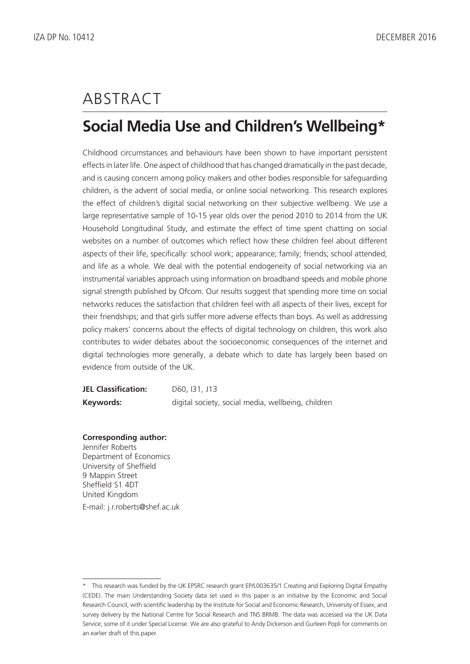# **ABSTRACT**

# **Social Media Use and Children's Wellbeing\***

Childhood circumstances and behaviours have been shown to have important persistent effects in later life. One aspect of childhood that has changed dramatically in the past decade, and is causing concern among policy makers and other bodies responsible for safeguarding children, is the advent of social media, or online social networking. This research explores the effect of children's digital social networking on their subjective wellbeing. We use a large representative sample of 10-15 year olds over the period 2010 to 2014 from the UK Household Longitudinal Study, and estimate the effect of time spent chatting on social websites on a number of outcomes which reflect how these children feel about different aspects of their life, specifically: school work; appearance; family; friends; school attended; and life as a whole. We deal with the potential endogeneity of social networking via an instrumental variables approach using information on broadband speeds and mobile phone signal strength published by Ofcom. Our results suggest that spending more time on social networks reduces the satisfaction that children feel with all aspects of their lives, except for their friendships; and that girls suffer more adverse effects than boys. As well as addressing policy makers' concerns about the effects of digital technology on children, this work also contributes to wider debates about the socioeconomic consequences of the internet and digital technologies more generally, a debate which to date has largely been based on evidence from outside of the UK.

| <b>JEL Classification:</b> | D60, 131, J13                                      |
|----------------------------|----------------------------------------------------|
| Keywords:                  | digital society, social media, wellbeing, children |

#### **Corresponding author:**

Jennifer Roberts Department of Economics University of Sheffield 9 Mappin Street Sheffield S1 4DT United Kingdom E-mail: j.r.roberts@shef.ac.uk

<sup>\*</sup> This research was funded by the UK EPSRC research grant EP/L003635/1 Creating and Exploring Digital Empathy (CEDE). The main Understanding Society data set used in this paper is an initiative by the Economic and Social Research Council, with scientific leadership by the Institute for Social and Economic Research, University of Essex, and survey delivery by the National Centre for Social Research and TNS BRMB. The data was accessed via the UK Data Service; some of it under Special License. We are also grateful to Andy Dickerson and Gurleen Popli for comments on an earlier draft of this paper.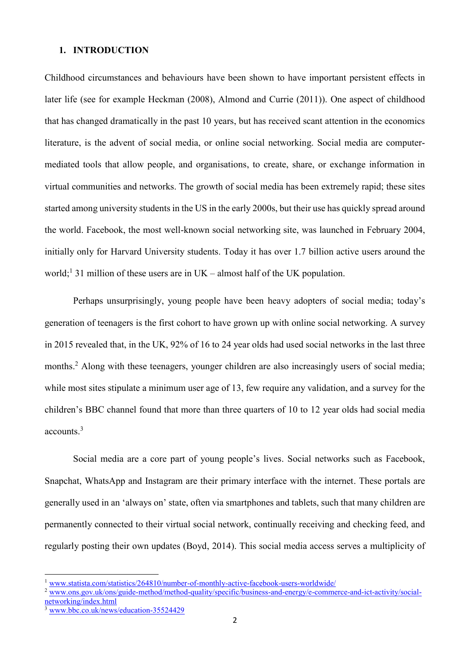#### **1. INTRODUCTION**

Childhood circumstances and behaviours have been shown to have important persistent effects in later life (see for example Heckman (2008), Almond and Currie (2011)). One aspect of childhood that has changed dramatically in the past 10 years, but has received scant attention in the economics literature, is the advent of social media, or online social networking. Social media are computermediated tools that allow people, and organisations, to create, share, or exchange information in virtual communities and networks. The growth of social media has been extremely rapid; these sites started among university students in the US in the early 2000s, but their use has quickly spread around the world. Facebook, the most well-known social networking site, was launched in February 2004, initially only for Harvard University students. Today it has over 1.7 billion active users around the world;<sup>1</sup> 31 million of these users are in UK – almost half of the UK population.

Perhaps unsurprisingly, young people have been heavy adopters of social media; today's generation of teenagers is the first cohort to have grown up with online social networking. A survey in 2015 revealed that, in the UK, 92% of 16 to 24 year olds had used social networks in the last three months.<sup>2</sup> Along with these teenagers, younger children are also increasingly users of social media; while most sites stipulate a minimum user age of 13, few require any validation, and a survey for the children's BBC channel found that more than three quarters of 10 to 12 year olds had social media accounts. 3

Social media are a core part of young people's lives. Social networks such as Facebook, Snapchat, WhatsApp and Instagram are their primary interface with the internet. These portals are generally used in an 'always on' state, often via smartphones and tablets, such that many children are permanently connected to their virtual social network, continually receiving and checking feed, and regularly posting their own updates (Boyd, 2014). This social media access serves a multiplicity of

<sup>1</sup> [www.statista.com/statistics/264810/number-of-monthly-active-facebook-users-worldwide/](http://www.statista.com/statistics/264810/number-of-monthly-active-facebook-users-worldwide/)

<sup>2</sup> [www.ons.gov.uk/ons/guide-method/method-quality/specific/business-and-energy/e-commerce-and-ict-activity/social](http://www.ons.gov.uk/ons/guide-method/method-quality/specific/business-and-energy/e-commerce-and-ict-activity/social-networking/index.html)[networking/index.html](http://www.ons.gov.uk/ons/guide-method/method-quality/specific/business-and-energy/e-commerce-and-ict-activity/social-networking/index.html)

<sup>3</sup> [www.bbc.co.uk/news/education-35524429](http://www.bbc.co.uk/news/education-35524429)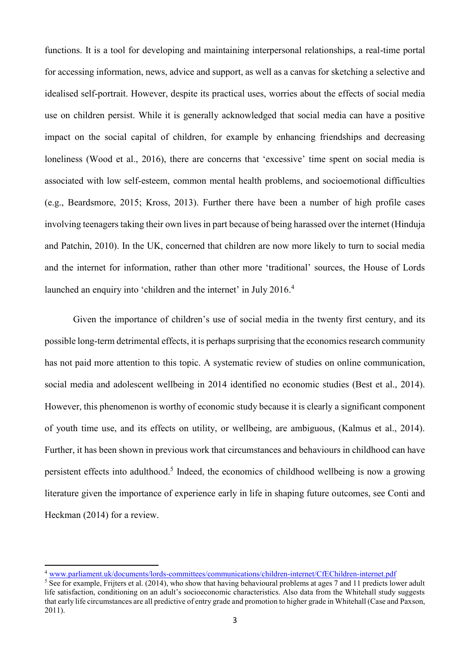functions. It is a tool for developing and maintaining interpersonal relationships, a real-time portal for accessing information, news, advice and support, as well as a canvas for sketching a selective and idealised self-portrait. However, despite its practical uses, worries about the effects of social media use on children persist. While it is generally acknowledged that social media can have a positive impact on the social capital of children, for example by enhancing friendships and decreasing loneliness (Wood et al., 2016), there are concerns that 'excessive' time spent on social media is associated with low self-esteem, common mental health problems, and socioemotional difficulties (e.g., Beardsmore, 2015; Kross, 2013). Further there have been a number of high profile cases involving teenagers taking their own lives in part because of being harassed over the internet (Hinduja and Patchin, 2010). In the UK, concerned that children are now more likely to turn to social media and the internet for information, rather than other more 'traditional' sources, the House of Lords launched an enquiry into 'children and the internet' in July 2016.<sup>4</sup>

Given the importance of children's use of social media in the twenty first century, and its possible long-term detrimental effects, it is perhaps surprising that the economics research community has not paid more attention to this topic. A systematic review of studies on online communication, social media and adolescent wellbeing in 2014 identified no economic studies (Best et al., 2014). However, this phenomenon is worthy of economic study because it is clearly a significant component of youth time use, and its effects on utility, or wellbeing, are ambiguous, (Kalmus et al., 2014). Further, it has been shown in previous work that circumstances and behaviours in childhood can have persistent effects into adulthood. 5 Indeed, the economics of childhood wellbeing is now a growing literature given the importance of experience early in life in shaping future outcomes, see Conti and Heckman (2014) for a review.

**.** 

<sup>4</sup> [www.parliament.uk/documents/lords-committees/communications/children-internet/CfEChildren-internet.pdf](http://www.parliament.uk/documents/lords-committees/communications/children-internet/CfEChildren-internet.pdf)

 $5\overline{\text{See}}$  for example, Frijters et al. (2014), who show that having behavioural problems at ages 7 and 11 predicts lower adult life satisfaction, conditioning on an adult's socioeconomic characteristics. Also data from the Whitehall study suggests that early life circumstances are all predictive of entry grade and promotion to higher grade in Whitehall (Case and Paxson, 2011).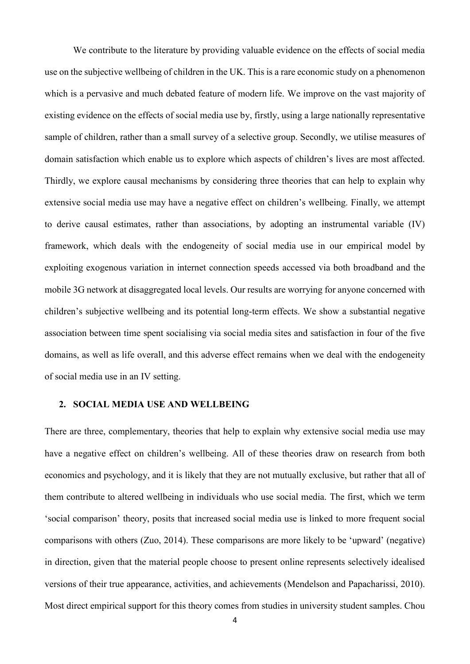We contribute to the literature by providing valuable evidence on the effects of social media use on the subjective wellbeing of children in the UK. This is a rare economic study on a phenomenon which is a pervasive and much debated feature of modern life. We improve on the vast majority of existing evidence on the effects of social media use by, firstly, using a large nationally representative sample of children, rather than a small survey of a selective group. Secondly, we utilise measures of domain satisfaction which enable us to explore which aspects of children's lives are most affected. Thirdly, we explore causal mechanisms by considering three theories that can help to explain why extensive social media use may have a negative effect on children's wellbeing. Finally, we attempt to derive causal estimates, rather than associations, by adopting an instrumental variable (IV) framework, which deals with the endogeneity of social media use in our empirical model by exploiting exogenous variation in internet connection speeds accessed via both broadband and the mobile 3G network at disaggregated local levels. Our results are worrying for anyone concerned with children's subjective wellbeing and its potential long-term effects. We show a substantial negative association between time spent socialising via social media sites and satisfaction in four of the five domains, as well as life overall, and this adverse effect remains when we deal with the endogeneity of social media use in an IV setting.

#### **2. SOCIAL MEDIA USE AND WELLBEING**

There are three, complementary, theories that help to explain why extensive social media use may have a negative effect on children's wellbeing. All of these theories draw on research from both economics and psychology, and it is likely that they are not mutually exclusive, but rather that all of them contribute to altered wellbeing in individuals who use social media. The first, which we term 'social comparison' theory, posits that increased social media use is linked to more frequent social comparisons with others (Zuo, 2014). These comparisons are more likely to be 'upward' (negative) in direction, given that the material people choose to present online represents selectively idealised versions of their true appearance, activities, and achievements (Mendelson and Papacharissi, 2010). Most direct empirical support for this theory comes from studies in university student samples. Chou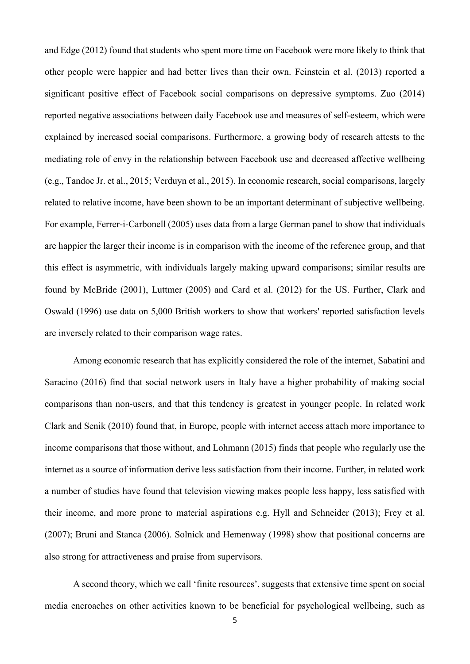and Edge (2012) found that students who spent more time on Facebook were more likely to think that other people were happier and had better lives than their own. Feinstein et al. (2013) reported a significant positive effect of Facebook social comparisons on depressive symptoms. Zuo (2014) reported negative associations between daily Facebook use and measures of self-esteem, which were explained by increased social comparisons. Furthermore, a growing body of research attests to the mediating role of envy in the relationship between Facebook use and decreased affective wellbeing (e.g., Tandoc Jr. et al., 2015; Verduyn et al., 2015). In economic research, social comparisons, largely related to relative income, have been shown to be an important determinant of subjective wellbeing. For example, Ferrer-i-Carbonell (2005) uses data from a large German panel to show that individuals are happier the larger their income is in comparison with the income of the reference group, and that this effect is asymmetric, with individuals largely making upward comparisons; similar results are found by McBride (2001), Luttmer (2005) and Card et al. (2012) for the US. Further, Clark and Oswald (1996) use data on 5,000 British workers to show that workers' reported satisfaction levels are inversely related to their comparison wage rates.

Among economic research that has explicitly considered the role of the internet, Sabatini and Saracino (2016) find that social network users in Italy have a higher probability of making social comparisons than non-users, and that this tendency is greatest in younger people. In related work Clark and Senik (2010) found that, in Europe, people with internet access attach more importance to income comparisons that those without, and Lohmann (2015) finds that people who regularly use the internet as a source of information derive less satisfaction from their income. Further, in related work a number of studies have found that television viewing makes people less happy, less satisfied with their income, and more prone to material aspirations e.g. Hyll and Schneider (2013); Frey et al. (2007); Bruni and Stanca (2006). Solnick and Hemenway (1998) show that positional concerns are also strong for attractiveness and praise from supervisors.

A second theory, which we call 'finite resources', suggests that extensive time spent on social media encroaches on other activities known to be beneficial for psychological wellbeing, such as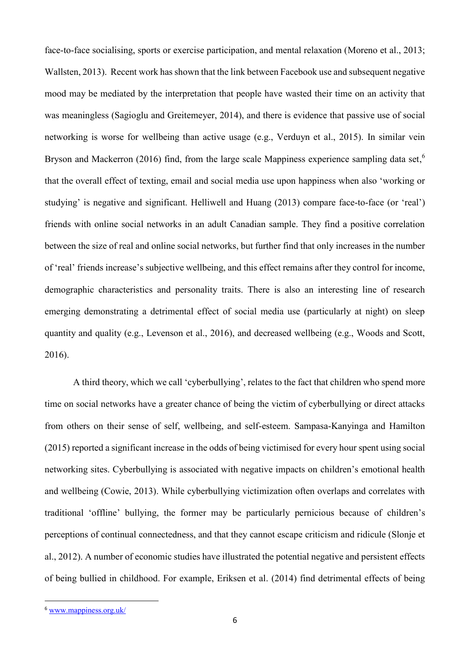face-to-face socialising, sports or exercise participation, and mental relaxation (Moreno et al., 2013; Wallsten, 2013). Recent work has shown that the link between Facebook use and subsequent negative mood may be mediated by the interpretation that people have wasted their time on an activity that was meaningless (Sagioglu and Greitemeyer, 2014), and there is evidence that passive use of social networking is worse for wellbeing than active usage (e.g., Verduyn et al., 2015). In similar vein Bryson and Mackerron (2016) find, from the large scale Mappiness experience sampling data set,<sup>6</sup> that the overall effect of texting, email and social media use upon happiness when also 'working or studying' is negative and significant. Helliwell and Huang (2013) compare face-to-face (or 'real') friends with online social networks in an adult Canadian sample. They find a positive correlation between the size of real and online social networks, but further find that only increases in the number of 'real' friends increase's subjective wellbeing, and this effect remains after they control for income, demographic characteristics and personality traits. There is also an interesting line of research emerging demonstrating a detrimental effect of social media use (particularly at night) on sleep quantity and quality (e.g., Levenson et al., 2016), and decreased wellbeing (e.g., Woods and Scott, 2016).

A third theory, which we call 'cyberbullying', relates to the fact that children who spend more time on social networks have a greater chance of being the victim of cyberbullying or direct attacks from others on their sense of self, wellbeing, and self-esteem. Sampasa-Kanyinga and Hamilton (2015) reported a significant increase in the odds of being victimised for every hour spent using social networking sites. Cyberbullying is associated with negative impacts on children's emotional health and wellbeing (Cowie, 2013). While cyberbullying victimization often overlaps and correlates with traditional 'offline' bullying, the former may be particularly pernicious because of children's perceptions of continual connectedness, and that they cannot escape criticism and ridicule (Slonje et al., 2012). A number of economic studies have illustrated the potential negative and persistent effects of being bullied in childhood. For example, Eriksen et al. (2014) find detrimental effects of being

**.** 

<sup>6</sup> [www.mappiness.org.uk/](http://www.mappiness.org.uk/)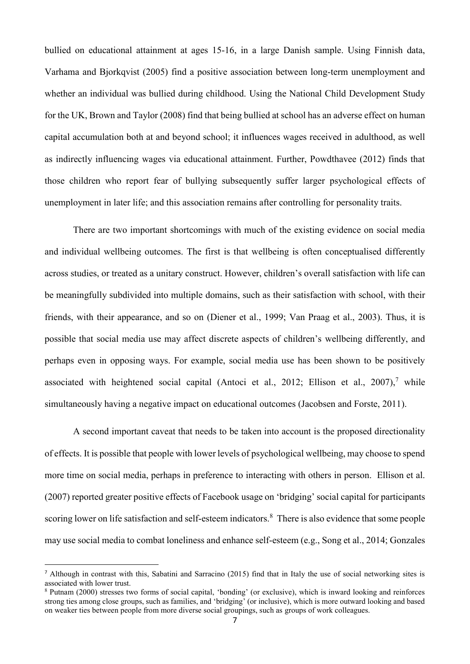bullied on educational attainment at ages 15-16, in a large Danish sample. Using Finnish data, Varhama and Bjorkqvist (2005) find a positive association between long-term unemployment and whether an individual was bullied during childhood. Using the National Child Development Study for the UK, Brown and Taylor (2008) find that being bullied at school has an adverse effect on human capital accumulation both at and beyond school; it influences wages received in adulthood, as well as indirectly influencing wages via educational attainment. Further, Powdthavee (2012) finds that those children who report fear of bullying subsequently suffer larger psychological effects of unemployment in later life; and this association remains after controlling for personality traits.

There are two important shortcomings with much of the existing evidence on social media and individual wellbeing outcomes. The first is that wellbeing is often conceptualised differently across studies, or treated as a unitary construct. However, children's overall satisfaction with life can be meaningfully subdivided into multiple domains, such as their satisfaction with school, with their friends, with their appearance, and so on (Diener et al., 1999; Van Praag et al., 2003). Thus, it is possible that social media use may affect discrete aspects of children's wellbeing differently, and perhaps even in opposing ways. For example, social media use has been shown to be positively associated with heightened social capital (Antoci et al., 2012; Ellison et al., 2007),<sup>7</sup> while simultaneously having a negative impact on educational outcomes (Jacobsen and Forste, 2011).

A second important caveat that needs to be taken into account is the proposed directionality of effects. It is possible that people with lower levels of psychological wellbeing, may choose to spend more time on social media, perhaps in preference to interacting with others in person. Ellison et al. (2007) reported greater positive effects of Facebook usage on 'bridging' social capital for participants scoring lower on life satisfaction and self-esteem indicators.<sup>8</sup> There is also evidence that some people may use social media to combat loneliness and enhance self-esteem (e.g., Song et al., 2014; Gonzales

**.** 

<sup>7</sup> Although in contrast with this, Sabatini and Sarracino (2015) find that in Italy the use of social networking sites is associated with lower trust.

<sup>8</sup> Putnam (2000) stresses two forms of social capital, 'bonding' (or exclusive), which is inward looking and reinforces strong ties among close groups, such as families, and 'bridging' (or inclusive), which is more outward looking and based on weaker ties between people from more diverse social groupings, such as groups of work colleagues.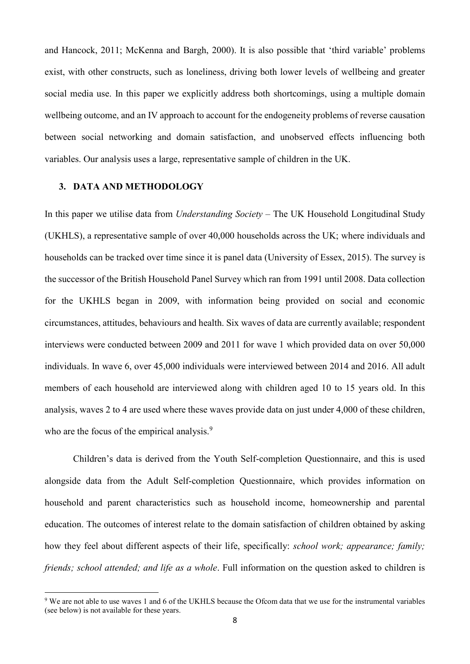and Hancock, 2011; McKenna and Bargh, 2000). It is also possible that 'third variable' problems exist, with other constructs, such as loneliness, driving both lower levels of wellbeing and greater social media use. In this paper we explicitly address both shortcomings, using a multiple domain wellbeing outcome, and an IV approach to account for the endogeneity problems of reverse causation between social networking and domain satisfaction, and unobserved effects influencing both variables. Our analysis uses a large, representative sample of children in the UK.

### **3. DATA AND METHODOLOGY**

**.** 

In this paper we utilise data from *Understanding Society* – The UK Household Longitudinal Study (UKHLS), a representative sample of over 40,000 households across the UK; where individuals and households can be tracked over time since it is panel data (University of Essex, 2015). The survey is the successor of the British Household Panel Survey which ran from 1991 until 2008. Data collection for the UKHLS began in 2009, with information being provided on social and economic circumstances, attitudes, behaviours and health. Six waves of data are currently available; respondent interviews were conducted between 2009 and 2011 for wave 1 which provided data on over 50,000 individuals. In wave 6, over 45,000 individuals were interviewed between 2014 and 2016. All adult members of each household are interviewed along with children aged 10 to 15 years old. In this analysis, waves 2 to 4 are used where these waves provide data on just under 4,000 of these children, who are the focus of the empirical analysis.<sup>9</sup>

Children's data is derived from the Youth Self-completion Questionnaire, and this is used alongside data from the Adult Self-completion Questionnaire, which provides information on household and parent characteristics such as household income, homeownership and parental education. The outcomes of interest relate to the domain satisfaction of children obtained by asking how they feel about different aspects of their life, specifically: *school work; appearance; family; friends; school attended; and life as a whole*. Full information on the question asked to children is

<sup>&</sup>lt;sup>9</sup> We are not able to use waves 1 and 6 of the UKHLS because the Ofcom data that we use for the instrumental variables (see below) is not available for these years.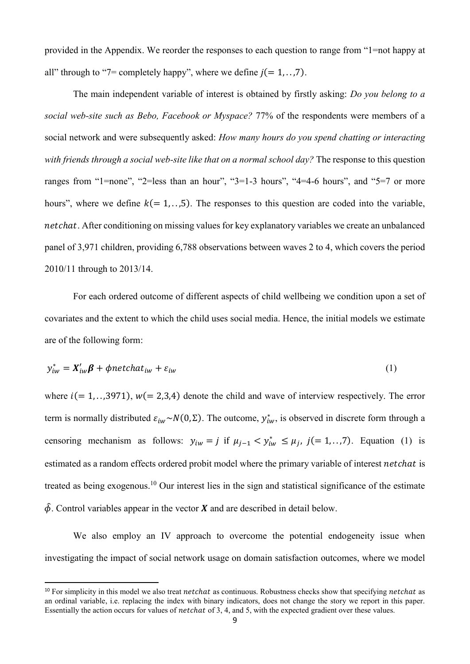provided in the Appendix. We reorder the responses to each question to range from "1=not happy at all" through to "7= completely happy", where we define  $j(= 1, \ldots, 7)$ .

The main independent variable of interest is obtained by firstly asking: *Do you belong to a social web-site such as Bebo, Facebook or Myspace?* 77% of the respondents were members of a social network and were subsequently asked: *How many hours do you spend chatting or interacting with friends through a social web-site like that on a normal school day?* The response to this question ranges from "1=none", "2=less than an hour", "3=1-3 hours", "4=4-6 hours", and "5=7 or more hours", where we define  $k (= 1, 1, 0.5)$ . The responses to this question are coded into the variable, netchat. After conditioning on missing values for key explanatory variables we create an unbalanced panel of 3,971 children, providing 6,788 observations between waves 2 to 4, which covers the period 2010/11 through to 2013/14.

For each ordered outcome of different aspects of child wellbeing we condition upon a set of covariates and the extent to which the child uses social media. Hence, the initial models we estimate are of the following form:

$$
y_{iw}^* = X_{iw}'\beta + \phi netchat_{iw} + \varepsilon_{iw}
$$
 (1)

where  $i (= 1, \ldots, 3971)$ ,  $w(= 2, 3, 4)$  denote the child and wave of interview respectively. The error term is normally distributed  $\varepsilon_{iw} \sim N(0, \Sigma)$ . The outcome,  $y_{iw}^*$ , is observed in discrete form through a censoring mechanism as follows:  $y_{iw} = j$  if  $\mu_{j-1} < y_{iw}^* \le \mu_j$ ,  $j (= 1, \ldots, 7)$ . Equation (1) is estimated as a random effects ordered probit model where the primary variable of interest *netchat* is treated as being exogenous. <sup>10</sup> Our interest lies in the sign and statistical significance of the estimate  $\hat{\phi}$ . Control variables appear in the vector **X** and are described in detail below.

We also employ an IV approach to overcome the potential endogeneity issue when investigating the impact of social network usage on domain satisfaction outcomes, where we model

**.** 

<sup>&</sup>lt;sup>10</sup> For simplicity in this model we also treat *netchat* as continuous. Robustness checks show that specifying *netchat* as an ordinal variable, i.e. replacing the index with binary indicators, does not change the story we report in this paper. Essentially the action occurs for values of *netchat* of 3, 4, and 5, with the expected gradient over these values.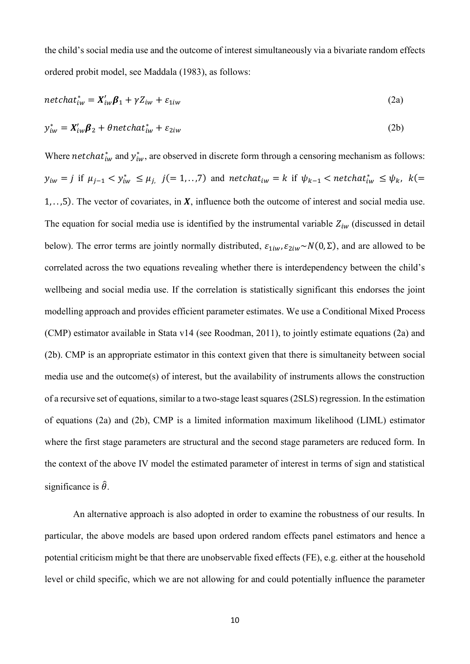the child's social media use and the outcome of interest simultaneously via a bivariate random effects ordered probit model, see Maddala (1983), as follows:

$$
netchat_{iw}^* = X_{iw}'\beta_1 + \gamma Z_{iw} + \varepsilon_{1iw}
$$
\n(2a)

$$
y_{iw}^* = X_{iw}' \beta_2 + \theta netchat_{iw}^* + \varepsilon_{2iw}
$$
 (2b)

Where *netchat*<sup>\*</sup><sub>*iw*</sub> and  $y^*_{iw}$ , are observed in discrete form through a censoring mechanism as follows:  $y_{iw} = j$  if  $\mu_{j-1} < y_{iw}^* \leq \mu_{j}$ ,  $j (= 1, \ldots, 7)$  and  $netchat_{iw} = k$  if  $\psi_{k-1} < netchat_{iw}^* \leq \psi_k$ ,  $k (=$ 1, ..., 5). The vector of covariates, in  $X$ , influence both the outcome of interest and social media use. The equation for social media use is identified by the instrumental variable  $Z_{iw}$  (discussed in detail below). The error terms are jointly normally distributed,  $\varepsilon_{1iw}, \varepsilon_{2iw} \sim N(0, \Sigma)$ , and are allowed to be correlated across the two equations revealing whether there is interdependency between the child's wellbeing and social media use. If the correlation is statistically significant this endorses the joint modelling approach and provides efficient parameter estimates. We use a Conditional Mixed Process (CMP) estimator available in Stata v14 (see Roodman, 2011), to jointly estimate equations (2a) and (2b). CMP is an appropriate estimator in this context given that there is simultaneity between social media use and the outcome(s) of interest, but the availability of instruments allows the construction of a recursive set of equations, similar to a two-stage least squares (2SLS) regression. In the estimation of equations (2a) and (2b), CMP is a limited information maximum likelihood (LIML) estimator where the first stage parameters are structural and the second stage parameters are reduced form. In the context of the above IV model the estimated parameter of interest in terms of sign and statistical significance is  $\hat{\theta}$ .

An alternative approach is also adopted in order to examine the robustness of our results. In particular, the above models are based upon ordered random effects panel estimators and hence a potential criticism might be that there are unobservable fixed effects (FE), e.g. either at the household level or child specific, which we are not allowing for and could potentially influence the parameter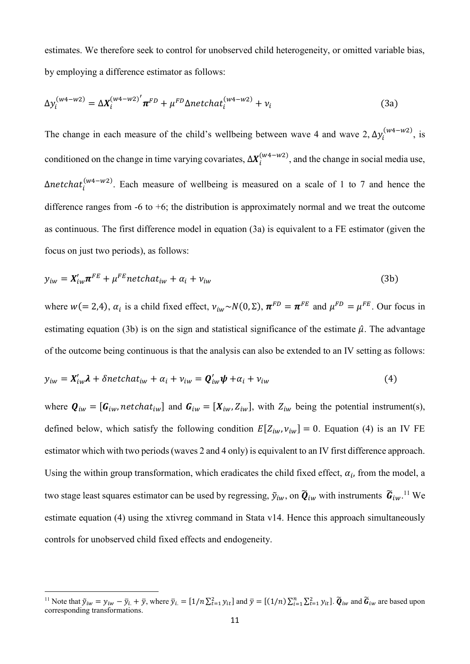estimates. We therefore seek to control for unobserved child heterogeneity, or omitted variable bias, by employing a difference estimator as follows:

$$
\Delta y_i^{(w4-w2)} = \Delta X_i^{(w4-w2)'} \pi^{FD} + \mu^{FD} \Delta netchat_i^{(w4-w2)} + \nu_i
$$
 (3a)

The change in each measure of the child's wellbeing between wave 4 and wave 2,  $\Delta y_i^{(w_4-w_2)}$ , is conditioned on the change in time varying covariates,  $\Delta X_i^{(w4-w2)}$ , and the change in social media use,  $\Delta$ netchat $i^{(w4-w2)}$ . Each measure of wellbeing is measured on a scale of 1 to 7 and hence the difference ranges from  $-6$  to  $+6$ ; the distribution is approximately normal and we treat the outcome as continuous. The first difference model in equation (3a) is equivalent to a FE estimator (given the focus on just two periods), as follows:

 = ′ + ℎ + + (3b)

where  $w (= 2,4)$ ,  $\alpha_i$  is a child fixed effect,  $v_{iw} \sim N(0, \Sigma)$ ,  $\pi^{FD} = \pi^{FE}$  and  $\mu^{FD} = \mu^{FE}$ . Our focus in estimating equation (3b) is on the sign and statistical significance of the estimate  $\hat{\mu}$ . The advantage of the outcome being continuous is that the analysis can also be extended to an IV setting as follows:

$$
y_{iw} = X'_{iw} \lambda + \delta netchat_{iw} + \alpha_i + \nu_{iw} = Q'_{iw} \psi + \alpha_i + \nu_{iw}
$$
 (4)

where  $\mathbf{Q}_{iw} = [\mathbf{G}_{iw}, \text{netchat}_{iw}]$  and  $\mathbf{G}_{iw} = [X_{iw}, Z_{iw}]$ , with  $Z_{iw}$  being the potential instrument(s), defined below, which satisfy the following condition  $E[Z_{iw}, v_{iw}] = 0$ . Equation (4) is an IV FE estimator which with two periods (waves 2 and 4 only) is equivalent to an IV first difference approach. Using the within group transformation, which eradicates the child fixed effect,  $\alpha_i$ , from the model, a two stage least squares estimator can be used by regressing,  $\tilde{y}_{iw}$ , on  $\tilde{Q}_{iw}$  with instruments  $\tilde{G}_{iw}$ .<sup>11</sup> We estimate equation (4) using the xtivreg command in Stata v14. Hence this approach simultaneously controls for unobserved child fixed effects and endogeneity.

**.** 

<sup>&</sup>lt;sup>11</sup> Note that  $\tilde{y}_{iw} = y_{iw} - \bar{y}_{i.} + \bar{y}$ , where  $\bar{y}_{i.} = [1/n \sum_{t=1}^{2} y_{it}]$  and  $\bar{y} = [(1/n) \sum_{i=1}^{n} \sum_{t=1}^{2} y_{it}]$ .  $\tilde{Q}_{iw}$  and  $\tilde{G}_{iw}$  are based upon corresponding transformations.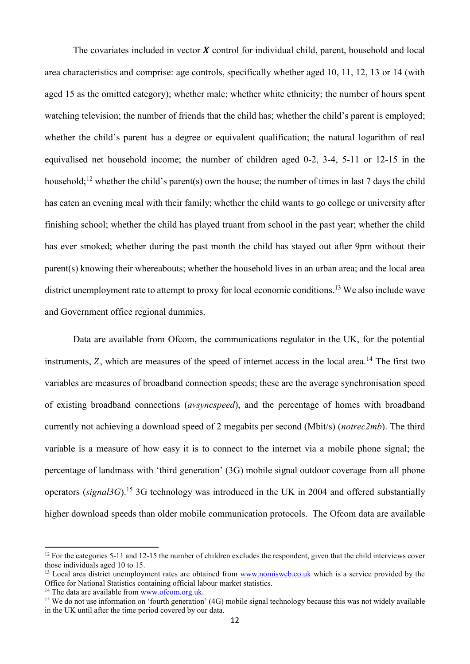The covariates included in vector  $\boldsymbol{X}$  control for individual child, parent, household and local area characteristics and comprise: age controls, specifically whether aged 10, 11, 12, 13 or 14 (with aged 15 as the omitted category); whether male; whether white ethnicity; the number of hours spent watching television; the number of friends that the child has; whether the child's parent is employed; whether the child's parent has a degree or equivalent qualification; the natural logarithm of real equivalised net household income; the number of children aged 0-2, 3-4, 5-11 or 12-15 in the household;<sup>12</sup> whether the child's parent(s) own the house; the number of times in last 7 days the child has eaten an evening meal with their family; whether the child wants to go college or university after finishing school; whether the child has played truant from school in the past year; whether the child has ever smoked; whether during the past month the child has stayed out after 9pm without their parent(s) knowing their whereabouts; whether the household lives in an urban area; and the local area district unemployment rate to attempt to proxy for local economic conditions.<sup>13</sup> We also include wave and Government office regional dummies.

Data are available from Ofcom, the communications regulator in the UK, for the potential instruments,  $Z$ , which are measures of the speed of internet access in the local area.<sup>14</sup> The first two variables are measures of broadband connection speeds; these are the average synchronisation speed of existing broadband connections (*avsyncspeed*), and the percentage of homes with broadband currently not achieving a download speed of 2 megabits per second (Mbit/s) (*notrec2mb*). The third variable is a measure of how easy it is to connect to the internet via a mobile phone signal; the percentage of landmass with 'third generation' (3G) mobile signal outdoor coverage from all phone operators (*signal3G*). <sup>15</sup> 3G technology was introduced in the UK in 2004 and offered substantially higher download speeds than older mobile communication protocols. The Ofcom data are available

 $\overline{\phantom{a}}$ 

<sup>&</sup>lt;sup>12</sup> For the categories 5-11 and 12-15 the number of children excludes the respondent, given that the child interviews cover those individuals aged 10 to 15.

<sup>&</sup>lt;sup>13</sup> Local area district unemployment rates are obtained from [www.nomisweb.co.uk](http://www.nomisweb.co.uk/) which is a service provided by the Office for National Statistics containing official labour market statistics.

<sup>&</sup>lt;sup>14</sup> The data are available from [www.ofcom.org.uk.](http://www.ofcom.org.uk/)

<sup>&</sup>lt;sup>15</sup> We do not use information on 'fourth generation' (4G) mobile signal technology because this was not widely available in the UK until after the time period covered by our data.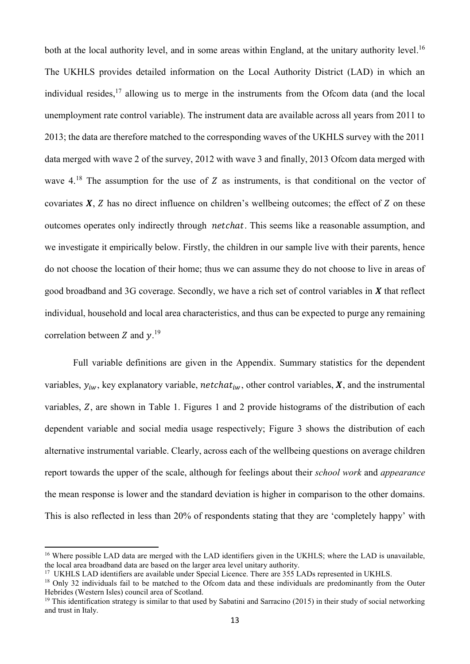both at the local authority level, and in some areas within England, at the unitary authority level.<sup>16</sup> The UKHLS provides detailed information on the Local Authority District (LAD) in which an individual resides,<sup>17</sup> allowing us to merge in the instruments from the Ofcom data (and the local unemployment rate control variable). The instrument data are available across all years from 2011 to 2013; the data are therefore matched to the corresponding waves of the UKHLS survey with the 2011 data merged with wave 2 of the survey, 2012 with wave 3 and finally, 2013 Ofcom data merged with wave  $4^{18}$ . The assumption for the use of Z as instruments, is that conditional on the vector of covariates  $X$ ,  $Z$  has no direct influence on children's wellbeing outcomes; the effect of  $Z$  on these outcomes operates only indirectly through *netchat*. This seems like a reasonable assumption, and we investigate it empirically below. Firstly, the children in our sample live with their parents, hence do not choose the location of their home; thus we can assume they do not choose to live in areas of good broadband and 3G coverage. Secondly, we have a rich set of control variables in  $X$  that reflect individual, household and local area characteristics, and thus can be expected to purge any remaining correlation between Z and  $y$ .<sup>19</sup>

Full variable definitions are given in the Appendix. Summary statistics for the dependent variables,  $y_{iw}$ , key explanatory variable, *netchat<sub>iw</sub>*, other control variables,  $\boldsymbol{X}$ , and the instrumental variables,  $Z$ , are shown in Table 1. Figures 1 and 2 provide histograms of the distribution of each dependent variable and social media usage respectively; Figure 3 shows the distribution of each alternative instrumental variable. Clearly, across each of the wellbeing questions on average children report towards the upper of the scale, although for feelings about their *school work* and *appearance* the mean response is lower and the standard deviation is higher in comparison to the other domains. This is also reflected in less than 20% of respondents stating that they are 'completely happy' with

 $\overline{\phantom{a}}$ 

<sup>&</sup>lt;sup>16</sup> Where possible LAD data are merged with the LAD identifiers given in the UKHLS; where the LAD is unavailable, the local area broadband data are based on the larger area level unitary authority.

<sup>&</sup>lt;sup>17</sup> UKHLS LAD identifiers are available under Special Licence. There are 355 LADs represented in UKHLS.

<sup>&</sup>lt;sup>18</sup> Only 32 individuals fail to be matched to the Ofcom data and these individuals are predominantly from the Outer Hebrides (Western Isles) council area of Scotland.

 $19$  This identification strategy is similar to that used by Sabatini and Sarracino (2015) in their study of social networking and trust in Italy.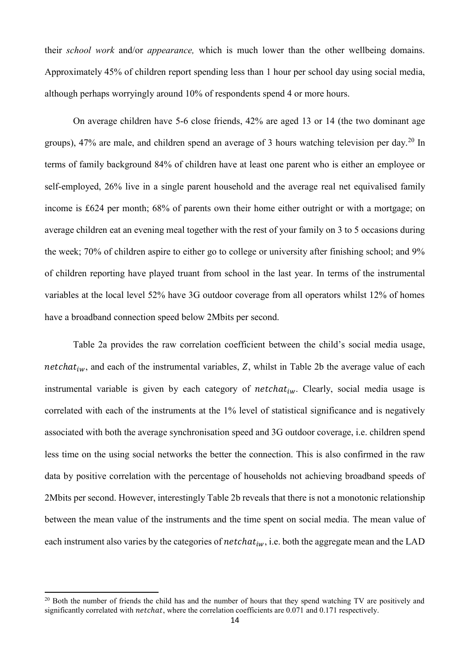their *school work* and/or *appearance,* which is much lower than the other wellbeing domains. Approximately 45% of children report spending less than 1 hour per school day using social media, although perhaps worryingly around 10% of respondents spend 4 or more hours.

On average children have 5-6 close friends, 42% are aged 13 or 14 (the two dominant age groups),  $47\%$  are male, and children spend an average of 3 hours watching television per day.<sup>20</sup> In terms of family background 84% of children have at least one parent who is either an employee or self-employed, 26% live in a single parent household and the average real net equivalised family income is £624 per month; 68% of parents own their home either outright or with a mortgage; on average children eat an evening meal together with the rest of your family on 3 to 5 occasions during the week; 70% of children aspire to either go to college or university after finishing school; and 9% of children reporting have played truant from school in the last year. In terms of the instrumental variables at the local level 52% have 3G outdoor coverage from all operators whilst 12% of homes have a broadband connection speed below 2Mbits per second.

Table 2a provides the raw correlation coefficient between the child's social media usage, *netchat<sub>iw</sub>*, and each of the instrumental variables,  $Z$ , whilst in Table 2b the average value of each instrumental variable is given by each category of  $netchat_{iw}$ . Clearly, social media usage is correlated with each of the instruments at the 1% level of statistical significance and is negatively associated with both the average synchronisation speed and 3G outdoor coverage, i.e. children spend less time on the using social networks the better the connection. This is also confirmed in the raw data by positive correlation with the percentage of households not achieving broadband speeds of 2Mbits per second. However, interestingly Table 2b reveals that there is not a monotonic relationship between the mean value of the instruments and the time spent on social media. The mean value of each instrument also varies by the categories of  $netchat_{iw}$ , i.e. both the aggregate mean and the LAD

<sup>&</sup>lt;sup>20</sup> Both the number of friends the child has and the number of hours that they spend watching TV are positively and significantly correlated with *netchat*, where the correlation coefficients are 0.071 and 0.171 respectively.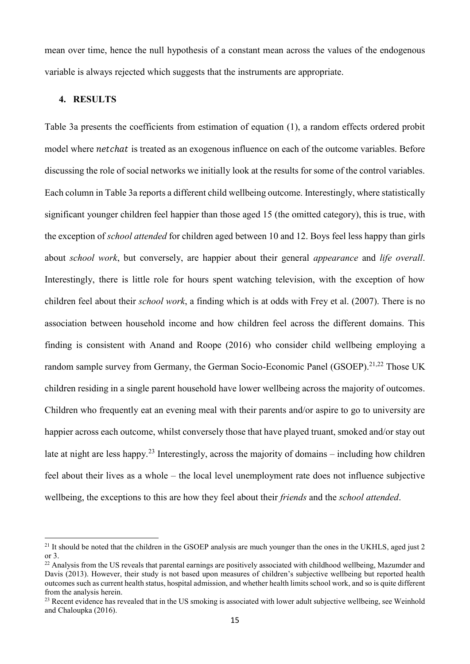mean over time, hence the null hypothesis of a constant mean across the values of the endogenous variable is always rejected which suggests that the instruments are appropriate.

#### **4. RESULTS**

**.** 

Table 3a presents the coefficients from estimation of equation (1), a random effects ordered probit model where *netchat* is treated as an exogenous influence on each of the outcome variables. Before discussing the role of social networks we initially look at the results for some of the control variables. Each column in Table 3a reports a different child wellbeing outcome. Interestingly, where statistically significant younger children feel happier than those aged 15 (the omitted category), this is true, with the exception of *school attended* for children aged between 10 and 12. Boys feel less happy than girls about *school work*, but conversely, are happier about their general *appearance* and *life overall*. Interestingly, there is little role for hours spent watching television, with the exception of how children feel about their *school work*, a finding which is at odds with Frey et al. (2007). There is no association between household income and how children feel across the different domains. This finding is consistent with Anand and Roope (2016) who consider child wellbeing employing a random sample survey from Germany, the German Socio-Economic Panel (GSOEP).<sup>21,22</sup> Those UK children residing in a single parent household have lower wellbeing across the majority of outcomes. Children who frequently eat an evening meal with their parents and/or aspire to go to university are happier across each outcome, whilst conversely those that have played truant, smoked and/or stay out late at night are less happy.<sup>23</sup> Interestingly, across the majority of domains – including how children feel about their lives as a whole – the local level unemployment rate does not influence subjective wellbeing, the exceptions to this are how they feel about their *friends* and the *school attended*.

<sup>&</sup>lt;sup>21</sup> It should be noted that the children in the GSOEP analysis are much younger than the ones in the UKHLS, aged just 2 or 3.

 $^{22}$  Analysis from the US reveals that parental earnings are positively associated with childhood wellbeing, Mazumder and Davis (2013). However, their study is not based upon measures of children's subjective wellbeing but reported health outcomes such as current health status, hospital admission, and whether health limits school work, and so is quite different from the analysis herein.

<sup>&</sup>lt;sup>23</sup> Recent evidence has revealed that in the US smoking is associated with lower adult subjective wellbeing, see Weinhold and Chaloupka (2016).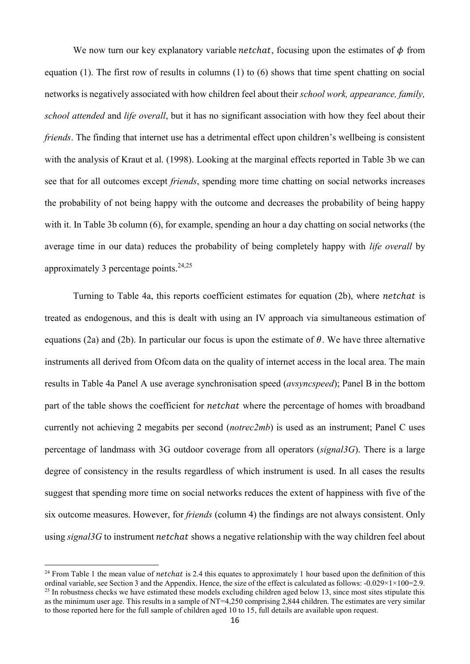We now turn our key explanatory variable *netchat*, focusing upon the estimates of  $\phi$  from equation (1). The first row of results in columns (1) to (6) shows that time spent chatting on social networks is negatively associated with how children feel about their *school work, appearance, family, school attended* and *life overall*, but it has no significant association with how they feel about their *friends*. The finding that internet use has a detrimental effect upon children's wellbeing is consistent with the analysis of Kraut et al. (1998). Looking at the marginal effects reported in Table 3b we can see that for all outcomes except *friends*, spending more time chatting on social networks increases the probability of not being happy with the outcome and decreases the probability of being happy with it. In Table 3b column (6), for example, spending an hour a day chatting on social networks (the average time in our data) reduces the probability of being completely happy with *life overall* by approximately 3 percentage points. 24,25

Turning to Table 4a, this reports coefficient estimates for equation (2b), where *netchat* is treated as endogenous, and this is dealt with using an IV approach via simultaneous estimation of equations (2a) and (2b). In particular our focus is upon the estimate of  $\theta$ . We have three alternative instruments all derived from Ofcom data on the quality of internet access in the local area. The main results in Table 4a Panel A use average synchronisation speed (*avsyncspeed*); Panel B in the bottom part of the table shows the coefficient for *netchat* where the percentage of homes with broadband currently not achieving 2 megabits per second (*notrec2mb*) is used as an instrument; Panel C uses percentage of landmass with 3G outdoor coverage from all operators (*signal3G*). There is a large degree of consistency in the results regardless of which instrument is used. In all cases the results suggest that spending more time on social networks reduces the extent of happiness with five of the six outcome measures. However, for *friends* (column 4) the findings are not always consistent. Only using *signal3G* to instrument *netchat* shows a negative relationship with the way children feel about

<sup>&</sup>lt;sup>24</sup> From Table 1 the mean value of *netchat* is 2.4 this equates to approximately 1 hour based upon the definition of this ordinal variable, see Section 3 and the Appendix. Hence, the size of the effect is calculated as follows:  $-0.029 \times 1 \times 100 = 2.9$ .  $^{25}$  In robustness checks we have estimated these models excluding children aged below 13, since most sites stipulate this as the minimum user age. This results in a sample of NT=4,250 comprising 2,844 children. The estimates are very similar to those reported here for the full sample of children aged 10 to 15, full details are available upon request.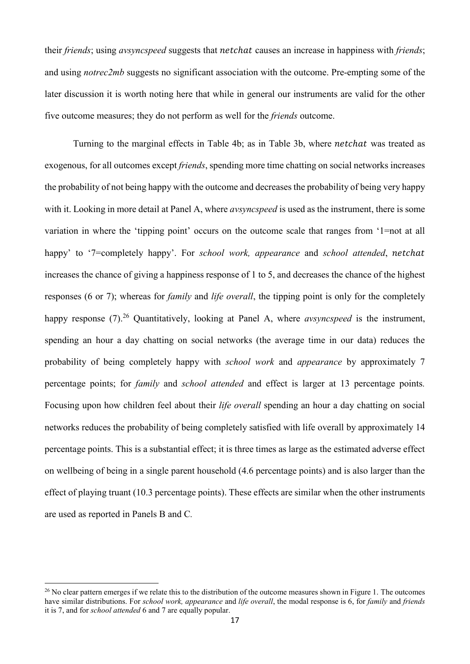their *friends*; using *avsyncspeed* suggests that *netchat* causes an increase in happiness with *friends*; and using *notrec2mb* suggests no significant association with the outcome. Pre-empting some of the later discussion it is worth noting here that while in general our instruments are valid for the other five outcome measures; they do not perform as well for the *friends* outcome.

Turning to the marginal effects in Table 4b; as in Table 3b, where *netchat* was treated as exogenous, for all outcomes except *friends*, spending more time chatting on social networks increases the probability of not being happy with the outcome and decreases the probability of being very happy with it. Looking in more detail at Panel A, where *avsyncspeed* is used as the instrument, there is some variation in where the 'tipping point' occurs on the outcome scale that ranges from '1=not at all happy' to '7=completely happy'. For *school work, appearance* and *school attended*, netchat increases the chance of giving a happiness response of 1 to 5, and decreases the chance of the highest responses (6 or 7); whereas for *family* and *life overall*, the tipping point is only for the completely happy response (7). <sup>26</sup> Quantitatively, looking at Panel A, where *avsyncspeed* is the instrument, spending an hour a day chatting on social networks (the average time in our data) reduces the probability of being completely happy with *school work* and *appearance* by approximately 7 percentage points; for *family* and *school attended* and effect is larger at 13 percentage points*.*  Focusing upon how children feel about their *life overall* spending an hour a day chatting on social networks reduces the probability of being completely satisfied with life overall by approximately 14 percentage points. This is a substantial effect; it is three times as large as the estimated adverse effect on wellbeing of being in a single parent household (4.6 percentage points) and is also larger than the effect of playing truant (10.3 percentage points). These effects are similar when the other instruments are used as reported in Panels B and C*.* 

 $26$  No clear pattern emerges if we relate this to the distribution of the outcome measures shown in Figure 1. The outcomes have similar distributions. For *school work, appearance* and *life overall*, the modal response is 6, for *family* and *friends*  it is 7, and for *school attended* 6 and 7 are equally popular.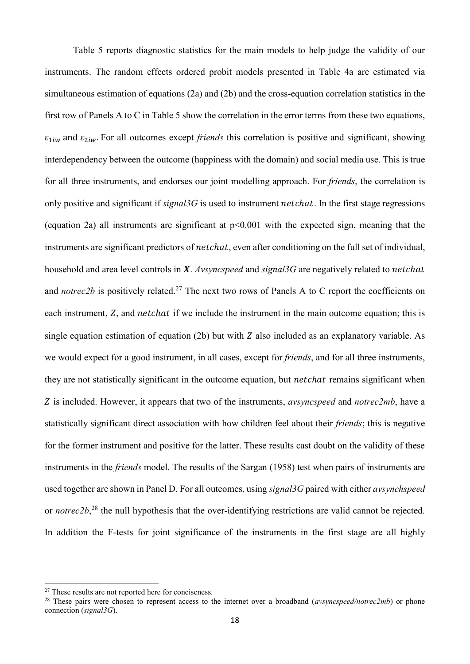Table 5 reports diagnostic statistics for the main models to help judge the validity of our instruments. The random effects ordered probit models presented in Table 4a are estimated via simultaneous estimation of equations (2a) and (2b) and the cross-equation correlation statistics in the first row of Panels A to C in Table 5 show the correlation in the error terms from these two equations,  $\varepsilon_{1iw}$  and  $\varepsilon_{2iw}$ . For all outcomes except *friends* this correlation is positive and significant, showing interdependency between the outcome (happiness with the domain) and social media use. This is true for all three instruments, and endorses our joint modelling approach. For *friends*, the correlation is only positive and significant if  $signal3G$  is used to instrument  $netchat$ . In the first stage regressions (equation 2a) all instruments are significant at p<0.001 with the expected sign, meaning that the instruments are significant predictors of *netchat*, even after conditioning on the full set of individual, household and area level controls in **X**. *Avsyncspeed* and *signal*3G are negatively related to *netchat* and *notrec2b* is positively related.<sup>27</sup> The next two rows of Panels A to C report the coefficients on each instrument,  $Z$ , and *netchat* if we include the instrument in the main outcome equation; this is single equation estimation of equation (2b) but with  $Z$  also included as an explanatory variable. As we would expect for a good instrument, in all cases, except for *friends*, and for all three instruments, they are not statistically significant in the outcome equation, but *netchat* remains significant when Z is included. However, it appears that two of the instruments, *avsyncspeed* and *notrec2mb*, have a statistically significant direct association with how children feel about their *friends*; this is negative for the former instrument and positive for the latter. These results cast doubt on the validity of these instruments in the *friends* model. The results of the Sargan (1958) test when pairs of instruments are used together are shown in Panel D. For all outcomes, using *signal3G* paired with either *avsynchspeed* or *notrec2b*,<sup>28</sup> the null hypothesis that the over-identifying restrictions are valid cannot be rejected. In addition the F-tests for joint significance of the instruments in the first stage are all highly

<sup>&</sup>lt;sup>27</sup> These results are not reported here for conciseness.

<sup>&</sup>lt;sup>28</sup> These pairs were chosen to represent access to the internet over a broadband (*avsyncspeed/notrec2mb*) or phone connection (*signal3G*).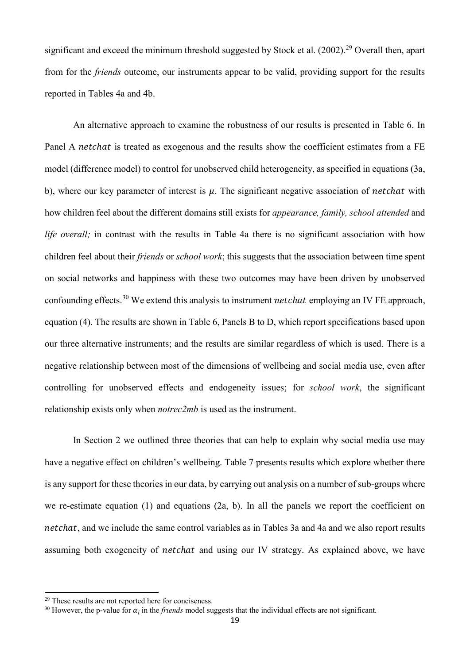significant and exceed the minimum threshold suggested by Stock et al. (2002).<sup>29</sup> Overall then, apart from for the *friends* outcome, our instruments appear to be valid, providing support for the results reported in Tables 4a and 4b.

An alternative approach to examine the robustness of our results is presented in Table 6. In Panel A *netchat* is treated as exogenous and the results show the coefficient estimates from a FE model (difference model) to control for unobserved child heterogeneity, as specified in equations (3a, b), where our key parameter of interest is  $\mu$ . The significant negative association of *netchat* with how children feel about the different domains still exists for *appearance, family, school attended* and *life overall;* in contrast with the results in Table 4a there is no significant association with how children feel about their *friends* or *school work*; this suggests that the association between time spent on social networks and happiness with these two outcomes may have been driven by unobserved confounding effects.<sup>30</sup> We extend this analysis to instrument *netchat* employing an IV FE approach, equation (4). The results are shown in Table 6, Panels B to D, which report specifications based upon our three alternative instruments; and the results are similar regardless of which is used. There is a negative relationship between most of the dimensions of wellbeing and social media use, even after controlling for unobserved effects and endogeneity issues; for *school work*, the significant relationship exists only when *notrec2mb* is used as the instrument.

In Section 2 we outlined three theories that can help to explain why social media use may have a negative effect on children's wellbeing. Table 7 presents results which explore whether there is any support for these theories in our data, by carrying out analysis on a number of sub-groups where we re-estimate equation (1) and equations (2a, b). In all the panels we report the coefficient on netchat, and we include the same control variables as in Tables 3a and 4a and we also report results assuming both exogeneity of *netchat* and using our IV strategy. As explained above, we have

<sup>29</sup> These results are not reported here for conciseness.

<sup>&</sup>lt;sup>30</sup> However, the p-value for  $\alpha_i$  in the *friends* model suggests that the individual effects are not significant.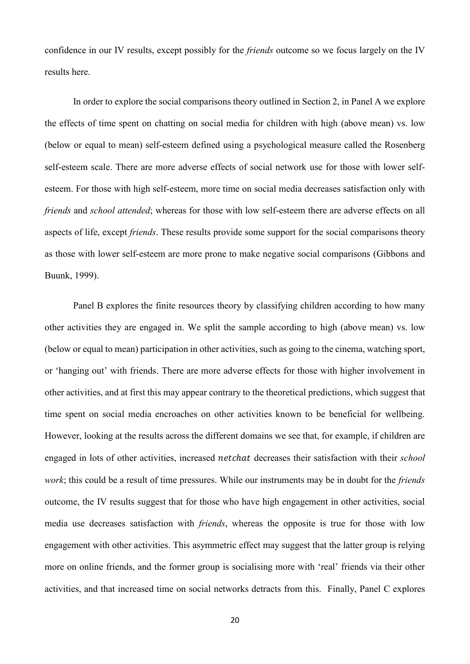confidence in our IV results, except possibly for the *friends* outcome so we focus largely on the IV results here.

In order to explore the social comparisons theory outlined in Section 2, in Panel A we explore the effects of time spent on chatting on social media for children with high (above mean) vs. low (below or equal to mean) self-esteem defined using a psychological measure called the Rosenberg self-esteem scale. There are more adverse effects of social network use for those with lower selfesteem. For those with high self-esteem, more time on social media decreases satisfaction only with *friends* and *school attended*; whereas for those with low self-esteem there are adverse effects on all aspects of life, except *friends*. These results provide some support for the social comparisons theory as those with lower self-esteem are more prone to make negative social comparisons (Gibbons and Buunk, 1999).

Panel B explores the finite resources theory by classifying children according to how many other activities they are engaged in. We split the sample according to high (above mean) vs. low (below or equal to mean) participation in other activities, such as going to the cinema, watching sport, or 'hanging out' with friends. There are more adverse effects for those with higher involvement in other activities, and at first this may appear contrary to the theoretical predictions, which suggest that time spent on social media encroaches on other activities known to be beneficial for wellbeing. However, looking at the results across the different domains we see that, for example, if children are engaged in lots of other activities, increased *netchat* decreases their satisfaction with their *school work*; this could be a result of time pressures. While our instruments may be in doubt for the *friends* outcome, the IV results suggest that for those who have high engagement in other activities, social media use decreases satisfaction with *friends*, whereas the opposite is true for those with low engagement with other activities. This asymmetric effect may suggest that the latter group is relying more on online friends, and the former group is socialising more with 'real' friends via their other activities, and that increased time on social networks detracts from this. Finally, Panel C explores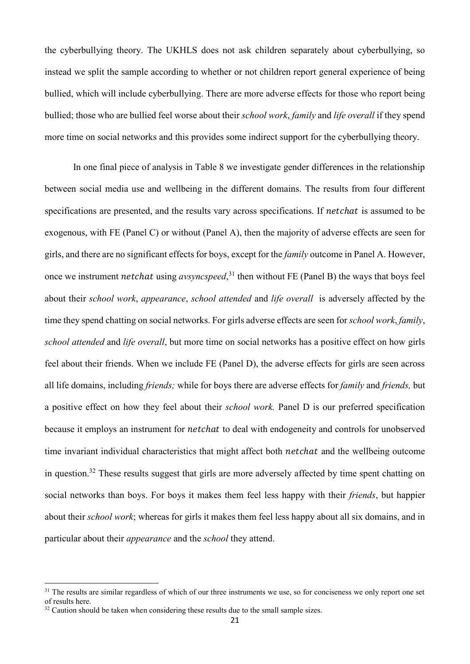the cyberbullying theory. The UKHLS does not ask children separately about cyberbullying, so instead we split the sample according to whether or not children report general experience of being bullied, which will include cyberbullying. There are more adverse effects for those who report being bullied; those who are bullied feel worse about their *school work*, *family* and *life overall* if they spend more time on social networks and this provides some indirect support for the cyberbullying theory.

In one final piece of analysis in Table 8 we investigate gender differences in the relationship between social media use and wellbeing in the different domains. The results from four different specifications are presented, and the results vary across specifications. If *netchat* is assumed to be exogenous, with FE (Panel C) or without (Panel A), then the majority of adverse effects are seen for girls, and there are no significant effects for boys, except for the *family* outcome in Panel A. However, once we instrument *netchat* using *avsyncspeed*,<sup>31</sup> then without FE (Panel B) the ways that boys feel about their *school work*, *appearance*, *school attended* and *life overall* is adversely affected by the time they spend chatting on social networks. For girls adverse effects are seen for *school work*, *family*, *school attended* and *life overall*, but more time on social networks has a positive effect on how girls feel about their friends. When we include FE (Panel D), the adverse effects for girls are seen across all life domains, including *friends;* while for boys there are adverse effects for *family* and *friends,* but a positive effect on how they feel about their *school work.* Panel D is our preferred specification because it employs an instrument for *netchat* to deal with endogeneity and controls for unobserved time invariant individual characteristics that might affect both *netchat* and the wellbeing outcome in question.<sup>32</sup> These results suggest that girls are more adversely affected by time spent chatting on social networks than boys. For boys it makes them feel less happy with their *friends*, but happier about their *school work*; whereas for girls it makes them feel less happy about all six domains, and in particular about their *appearance* and the *school* they attend.

 $31$  The results are similar regardless of which of our three instruments we use, so for conciseness we only report one set of results here.

 $32$  Caution should be taken when considering these results due to the small sample sizes.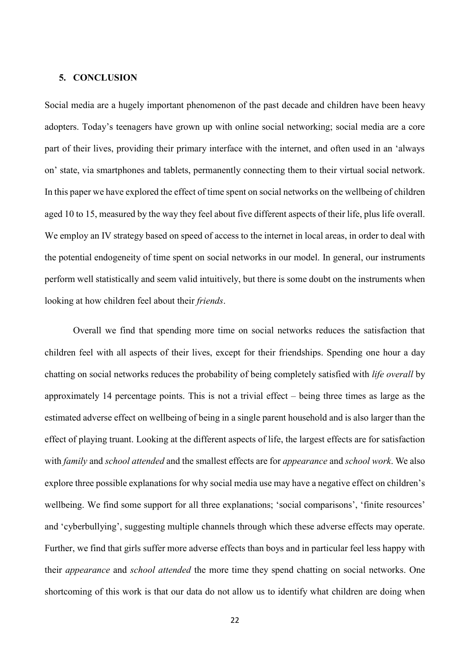#### **5. CONCLUSION**

Social media are a hugely important phenomenon of the past decade and children have been heavy adopters. Today's teenagers have grown up with online social networking; social media are a core part of their lives, providing their primary interface with the internet, and often used in an 'always on' state, via smartphones and tablets, permanently connecting them to their virtual social network. In this paper we have explored the effect of time spent on social networks on the wellbeing of children aged 10 to 15, measured by the way they feel about five different aspects of their life, plus life overall. We employ an IV strategy based on speed of access to the internet in local areas, in order to deal with the potential endogeneity of time spent on social networks in our model. In general, our instruments perform well statistically and seem valid intuitively, but there is some doubt on the instruments when looking at how children feel about their *friends*.

Overall we find that spending more time on social networks reduces the satisfaction that children feel with all aspects of their lives, except for their friendships. Spending one hour a day chatting on social networks reduces the probability of being completely satisfied with *life overall* by approximately 14 percentage points. This is not a trivial effect – being three times as large as the estimated adverse effect on wellbeing of being in a single parent household and is also larger than the effect of playing truant. Looking at the different aspects of life, the largest effects are for satisfaction with *family* and *school attended* and the smallest effects are for *appearance* and *school work*. We also explore three possible explanations for why social media use may have a negative effect on children's wellbeing. We find some support for all three explanations; 'social comparisons', 'finite resources' and 'cyberbullying', suggesting multiple channels through which these adverse effects may operate. Further, we find that girls suffer more adverse effects than boys and in particular feel less happy with their *appearance* and *school attended* the more time they spend chatting on social networks. One shortcoming of this work is that our data do not allow us to identify what children are doing when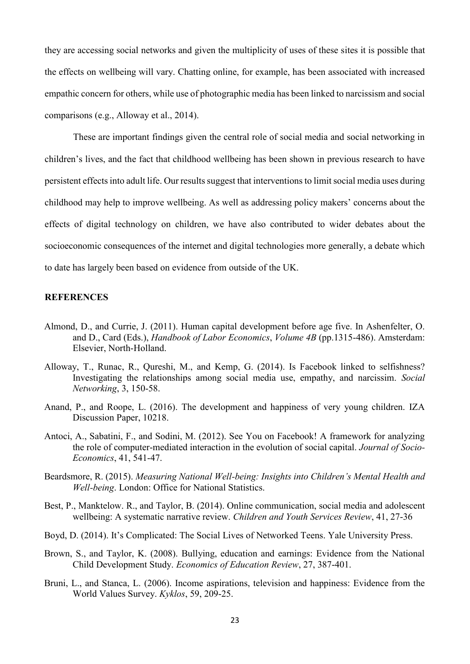they are accessing social networks and given the multiplicity of uses of these sites it is possible that the effects on wellbeing will vary. Chatting online, for example, has been associated with increased empathic concern for others, while use of photographic media has been linked to narcissism and social comparisons (e.g., Alloway et al., 2014).

These are important findings given the central role of social media and social networking in children's lives, and the fact that childhood wellbeing has been shown in previous research to have persistent effects into adult life. Our results suggest that interventions to limit social media uses during childhood may help to improve wellbeing. As well as addressing policy makers' concerns about the effects of digital technology on children, we have also contributed to wider debates about the socioeconomic consequences of the internet and digital technologies more generally, a debate which to date has largely been based on evidence from outside of the UK.

### **REFERENCES**

- Almond, D., and Currie, J. (2011). Human capital development before age five. In Ashenfelter, O. and D., Card (Eds.), *Handbook of Labor Economics*, *Volume 4B* (pp.1315-486). Amsterdam: Elsevier, North-Holland.
- Alloway, T., Runac, R., Qureshi, M., and Kemp, G. (2014). Is Facebook linked to selfishness? Investigating the relationships among social media use, empathy, and narcissim. *Social Networking*, 3, 150-58.
- Anand, P., and Roope, L. (2016). The development and happiness of very young children. IZA Discussion Paper, 10218.
- Antoci, A., Sabatini, F., and Sodini, M. (2012). See You on Facebook! A framework for analyzing the role of computer-mediated interaction in the evolution of social capital. *Journal of Socio-Economics*, 41, 541-47.
- Beardsmore, R. (2015). *Measuring National Well-being: Insights into Children's Mental Health and Well-being*. London: Office for National Statistics.
- Best, P., Manktelow. R., and Taylor, B. (2014). Online communication, social media and adolescent wellbeing: A systematic narrative review. *Children and Youth Services Review*, 41, 27-36
- Boyd, D. (2014). It's Complicated: The Social Lives of Networked Teens. Yale University Press.
- Brown, S., and Taylor, K. (2008). Bullying, education and earnings: Evidence from the National Child Development Study. *Economics of Education Review*, 27, 387-401.
- Bruni, L., and Stanca, L. (2006). Income aspirations, television and happiness: Evidence from the World Values Survey. *Kyklos*, 59, 209-25.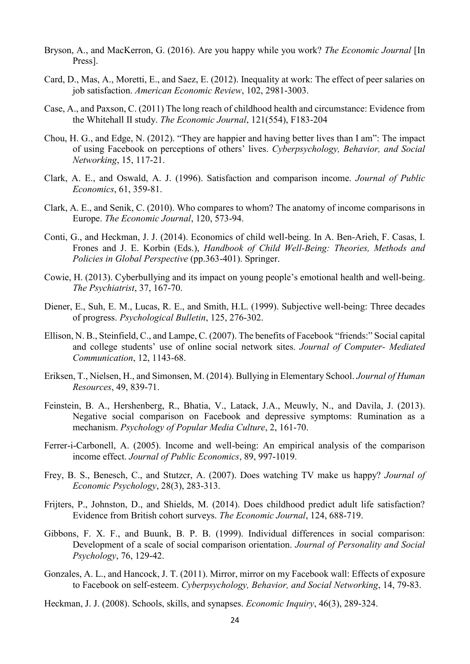- Bryson, A., and MacKerron, G. (2016). Are you happy while you work? *The Economic Journal* [In Press].
- Card, D., Mas, A., Moretti, E., and Saez, E. (2012). Inequality at work: The effect of peer salaries on job satisfaction. *American Economic Review*, 102, 2981-3003.
- Case, A., and Paxson, C. (2011) The long reach of childhood health and circumstance: Evidence from the Whitehall II study. *The Economic Journal*, 121(554), F183-204
- Chou, H. G., and Edge, N. (2012). "They are happier and having better lives than I am": The impact of using Facebook on perceptions of others' lives. *Cyberpsychology, Behavior, and Social Networking*, 15, 117-21.
- Clark, A. E., and Oswald, A. J. (1996). Satisfaction and comparison income. *Journal of Public Economics*, 61, 359-81.
- Clark, A. E., and Senik, C. (2010). Who compares to whom? The anatomy of income comparisons in Europe. *The Economic Journal*, 120, 573-94.
- Conti, G., and Heckman, J. J. (2014). Economics of child well-being. In A. Ben-Arieh, F. Casas, I. Frones and J. E. Korbin (Eds.), *Handbook of Child Well-Being: Theories, Methods and Policies in Global Perspective* (pp.363-401). Springer.
- Cowie, H. (2013). Cyberbullying and its impact on young people's emotional health and well-being. *The Psychiatrist*, 37, 167-70.
- Diener, E., Suh, E. M., Lucas, R. E., and Smith, H.L. (1999). Subjective well-being: Three decades of progress. *Psychological Bulletin*, 125, 276-302.
- Ellison, N. B., Steinfield, C., and Lampe, C. (2007). The benefits of Facebook "friends:" Social capital and college students' use of online social network sites. *Journal of Computer- Mediated Communication*, 12, 1143-68.
- Eriksen, T., Nielsen, H., and Simonsen, M. (2014). Bullying in Elementary School. *Journal of Human Resources*, 49, 839-71.
- Feinstein, B. A., Hershenberg, R., Bhatia, V., Latack, J.A., Meuwly, N., and Davila, J. (2013). Negative social comparison on Facebook and depressive symptoms: Rumination as a mechanism. *Psychology of Popular Media Culture*, 2, 161-70.
- Ferrer-i-Carbonell, A. (2005). Income and well-being: An empirical analysis of the comparison income effect. *Journal of Public Economics*, 89, 997-1019.
- Frey, B. S., Benesch, C., and Stutzcr, A. (2007). Does watching TV make us happy? *Journal of Economic Psychology*, 28(3), 283-313.
- Frijters, P., Johnston, D., and Shields, M. (2014). Does childhood predict adult life satisfaction? Evidence from British cohort surveys. *The Economic Journal*, 124, 688-719.
- Gibbons, F. X. F., and Buunk, B. P. B. (1999). Individual differences in social comparison: Development of a scale of social comparison orientation. *Journal of Personality and Social Psychology*, 76, 129-42.
- Gonzales, A. L., and Hancock, J. T. (2011). Mirror, mirror on my Facebook wall: Effects of exposure to Facebook on self-esteem. *Cyberpsychology, Behavior, and Social Networking*, 14, 79-83.
- Heckman, J. J. (2008). Schools, skills, and synapses. *Economic Inquiry*, 46(3), 289-324.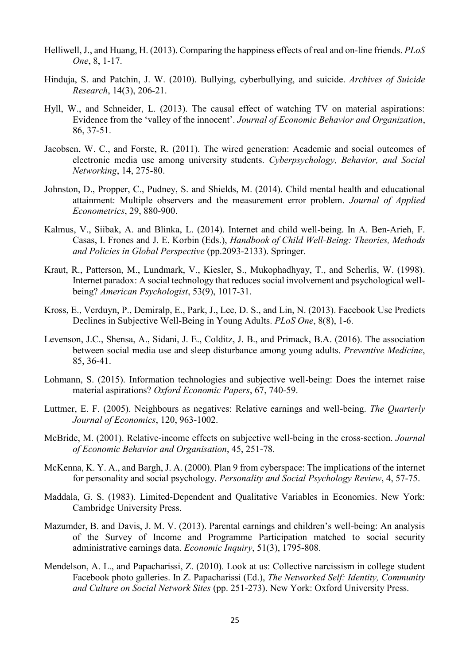- Helliwell, J., and Huang, H. (2013). Comparing the happiness effects of real and on-line friends. *PLoS One*, 8, 1-17.
- Hinduja, S. and Patchin, J. W. (2010). Bullying, cyberbullying, and suicide. *Archives of Suicide Research*, 14(3), 206-21.
- Hyll, W., and Schneider, L. (2013). The causal effect of watching TV on material aspirations: Evidence from the 'valley of the innocent'. *Journal of Economic Behavior and Organization*, 86, 37-51.
- Jacobsen, W. C., and Forste, R. (2011). The wired generation: Academic and social outcomes of electronic media use among university students. *Cyberpsychology, Behavior, and Social Networking*, 14, 275-80.
- Johnston, D., Propper, C., Pudney, S. and Shields, M. (2014). Child mental health and educational attainment: Multiple observers and the measurement error problem. *Journal of Applied Econometrics*, 29, 880-900.
- Kalmus, V., Siibak, A. and Blinka, L. (2014). Internet and child well-being. In A. Ben-Arieh, F. Casas, I. Frones and J. E. Korbin (Eds.), *Handbook of Child Well-Being: Theories, Methods and Policies in Global Perspective* (pp.2093-2133). Springer.
- Kraut, R., Patterson, M., Lundmark, V., Kiesler, S., Mukophadhyay, T., and Scherlis, W. (1998). Internet paradox: A social technology that reduces social involvement and psychological wellbeing? *American Psychologist*, 53(9), 1017-31.
- Kross, E., Verduyn, P., Demiralp, E., Park, J., Lee, D. S., and Lin, N. (2013). Facebook Use Predicts Declines in Subjective Well-Being in Young Adults. *PLoS One*, 8(8), 1-6.
- Levenson, J.C., Shensa, A., Sidani, J. E., Colditz, J. B., and Primack, B.A. (2016). The association between social media use and sleep disturbance among young adults. *Preventive Medicine*, 85, 36-41.
- Lohmann, S. (2015). Information technologies and subjective well-being: Does the internet raise material aspirations? *Oxford Economic Papers*, 67, 740-59.
- Luttmer, E. F. (2005). Neighbours as negatives: Relative earnings and well-being. *The Quarterly Journal of Economics*, 120, 963-1002.
- McBride, M. (2001). Relative-income effects on subjective well-being in the cross-section. *Journal of Economic Behavior and Organisation*, 45, 251-78.
- McKenna, K. Y. A., and Bargh, J. A. (2000). Plan 9 from cyberspace: The implications of the internet for personality and social psychology. *Personality and Social Psychology Review*, 4, 57-75.
- Maddala, G. S. (1983). Limited-Dependent and Qualitative Variables in Economics. New York: Cambridge University Press.
- Mazumder, B. and Davis, J. M. V. (2013). Parental earnings and children's well-being: An analysis of the Survey of Income and Programme Participation matched to social security administrative earnings data. *Economic Inquiry*, 51(3), 1795-808.
- Mendelson, A. L., and Papacharissi, Z. (2010). Look at us: Collective narcissism in college student Facebook photo galleries. In Z. Papacharissi (Ed.), *The Networked Self: Identity, Community and Culture on Social Network Sites* (pp. 251-273). New York: Oxford University Press.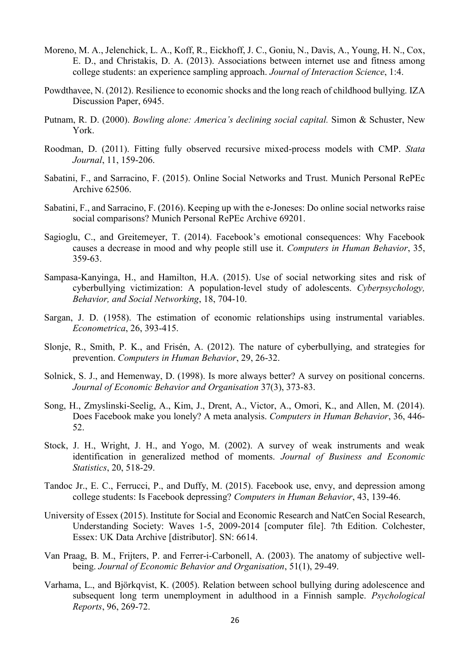- Moreno, M. A., Jelenchick, L. A., Koff, R., Eickhoff, J. C., Goniu, N., Davis, A., Young, H. N., Cox, E. D., and Christakis, D. A. (2013). Associations between internet use and fitness among college students: an experience sampling approach. *Journal of Interaction Science*, 1:4.
- Powdthavee, N. (2012). Resilience to economic shocks and the long reach of childhood bullying. IZA Discussion Paper, 6945.
- Putnam, R. D. (2000). *Bowling alone: America's declining social capital.* Simon & Schuster, New York.
- Roodman, D. (2011). Fitting fully observed recursive mixed-process models with CMP. *Stata Journal*, 11, 159-206.
- Sabatini, F., and Sarracino, F. (2015). Online Social Networks and Trust. Munich Personal RePEc Archive 62506.
- Sabatini, F., and Sarracino, F. (2016). Keeping up with the e-Joneses: Do online social networks raise social comparisons? Munich Personal RePEc Archive 69201.
- Sagioglu, C., and Greitemeyer, T. (2014). Facebook's emotional consequences: Why Facebook causes a decrease in mood and why people still use it. *Computers in Human Behavior*, 35, 359-63.
- Sampasa-Kanyinga, H., and Hamilton, H.A. (2015). Use of social networking sites and risk of cyberbullying victimization: A population-level study of adolescents. *Cyberpsychology, Behavior, and Social Networking*, 18, 704-10.
- Sargan, J. D. (1958). The estimation of economic relationships using instrumental variables. *Econometrica*, 26, 393-415.
- Slonje, R., Smith, P. K., and Frisén, A. (2012). The nature of cyberbullying, and strategies for prevention. *Computers in Human Behavior*, 29, 26-32.
- Solnick, S. J., and Hemenway, D. (1998). Is more always better? A survey on positional concerns. *Journal of Economic Behavior and Organisation* 37(3), 373-83.
- Song, H., Zmyslinski-Seelig, A., Kim, J., Drent, A., Victor, A., Omori, K., and Allen, M. (2014). Does Facebook make you lonely? A meta analysis. *Computers in Human Behavior*, 36, 446- 52.
- Stock, J. H., Wright, J. H., and Yogo, M. (2002). A survey of weak instruments and weak identification in generalized method of moments. *Journal of Business and Economic Statistics*, 20, 518-29.
- Tandoc Jr., E. C., Ferrucci, P., and Duffy, M. (2015). Facebook use, envy, and depression among college students: Is Facebook depressing? *Computers in Human Behavior*, 43, 139-46.
- University of Essex (2015). Institute for Social and Economic Research and NatCen Social Research, Understanding Society: Waves 1-5, 2009-2014 [computer file]. 7th Edition. Colchester, Essex: UK Data Archive [distributor]. SN: 6614.
- Van Praag, B. M., Frijters, P. and Ferrer-i-Carbonell, A. (2003). The anatomy of subjective wellbeing. *Journal of Economic Behavior and Organisation*, 51(1), 29-49.
- Varhama, L., and Björkqvist, K. (2005). Relation between school bullying during adolescence and subsequent long term unemployment in adulthood in a Finnish sample. *Psychological Reports*, 96, 269-72.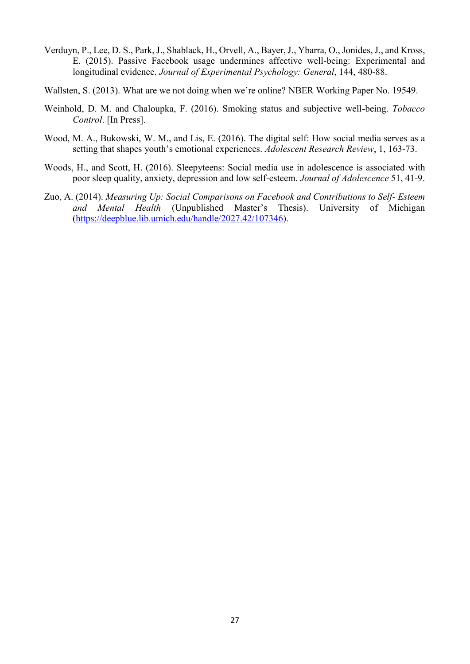- Verduyn, P., Lee, D. S., Park, J., Shablack, H., Orvell, A., Bayer, J., Ybarra, O., Jonides, J., and Kross, E. (2015). Passive Facebook usage undermines affective well-being: Experimental and longitudinal evidence. *Journal of Experimental Psychology: General*, 144, 480-88.
- Wallsten, S. (2013). What are we not doing when we're online? NBER Working Paper No. 19549.
- Weinhold, D. M. and Chaloupka, F. (2016). Smoking status and subjective well-being. *Tobacco Control*. [In Press].
- Wood, M. A., Bukowski, W. M., and Lis, E. (2016). The digital self: How social media serves as a setting that shapes youth's emotional experiences. *Adolescent Research Review*, 1, 163-73.
- Woods, H., and Scott, H. (2016). Sleepyteens: Social media use in adolescence is associated with poor sleep quality, anxiety, depression and low self-esteem. *Journal of Adolescence* 51, 41-9.
- Zuo, A. (2014). *Measuring Up: Social Comparisons on Facebook and Contributions to Self- Esteem and Mental Health* (Unpublished Master's Thesis). University of Michigan [\(https://deepblue.lib.umich.edu/handle/2027.42/107346\)](https://deepblue.lib.umich.edu/handle/2027.42/107346).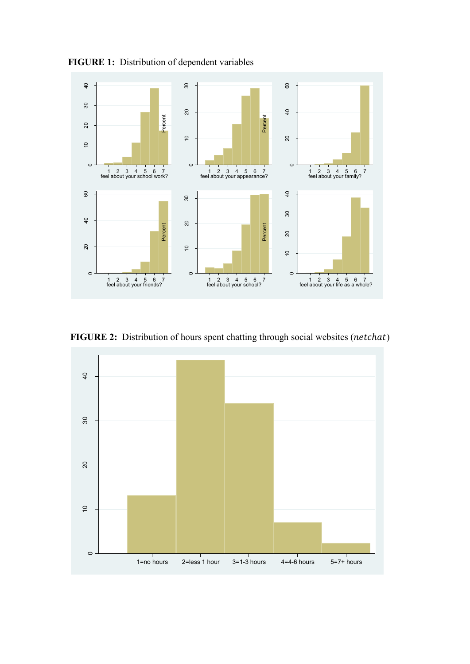

**FIGURE 1:** Distribution of dependent variables

**FIGURE 2:** Distribution of hours spent chatting through social websites (netchat)

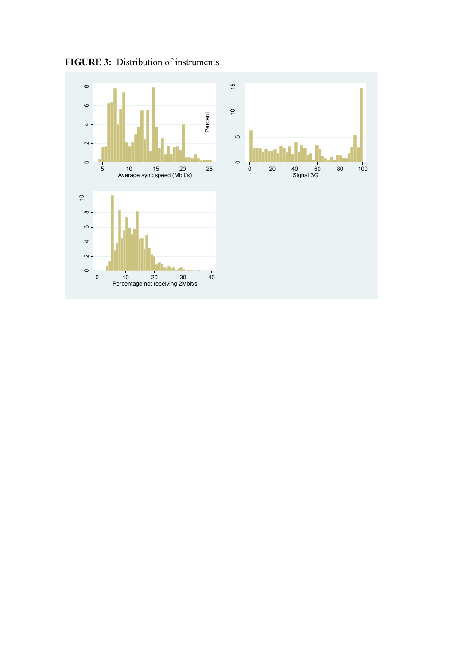**FIGURE 3:** Distribution of instruments

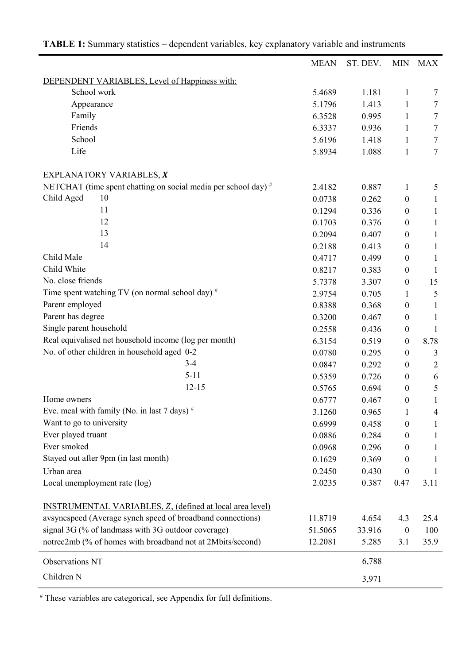|                                                                 | <b>MEAN</b> | ST. DEV. | <b>MIN</b>       | <b>MAX</b>     |
|-----------------------------------------------------------------|-------------|----------|------------------|----------------|
| DEPENDENT VARIABLES, Level of Happiness with:                   |             |          |                  |                |
| School work                                                     | 5.4689      | 1.181    | $\mathbf{1}$     | 7              |
| Appearance                                                      | 5.1796      | 1.413    | 1                | 7              |
| Family                                                          | 6.3528      | 0.995    | 1                | 7              |
| Friends                                                         | 6.3337      | 0.936    | 1                | 7              |
| School                                                          | 5.6196      | 1.418    | 1                | 7              |
| Life                                                            | 5.8934      | 1.088    | $\mathbf{1}$     | $\overline{7}$ |
| <b>EXPLANATORY VARIABLES, X</b>                                 |             |          |                  |                |
| NETCHAT (time spent chatting on social media per school day) #  | 2.4182      | 0.887    | $\mathbf{1}$     | 5              |
| Child Aged<br>10                                                | 0.0738      | 0.262    | $\boldsymbol{0}$ | $\mathbf{1}$   |
| 11                                                              | 0.1294      | 0.336    | $\boldsymbol{0}$ | $\mathbf{1}$   |
| 12                                                              | 0.1703      | 0.376    | $\boldsymbol{0}$ | 1              |
| 13                                                              | 0.2094      | 0.407    | $\boldsymbol{0}$ | $\mathbf{1}$   |
| 14                                                              | 0.2188      | 0.413    | $\boldsymbol{0}$ | $\mathbf{1}$   |
| Child Male                                                      | 0.4717      | 0.499    | 0                | $\mathbf{1}$   |
| Child White                                                     | 0.8217      | 0.383    | 0                | 1              |
| No. close friends                                               | 5.7378      | 3.307    | $\boldsymbol{0}$ | 15             |
| Time spent watching TV (on normal school day) #                 | 2.9754      | 0.705    | 1                | 5              |
| Parent employed                                                 | 0.8388      | 0.368    | $\boldsymbol{0}$ | 1              |
| Parent has degree                                               | 0.3200      | 0.467    | $\boldsymbol{0}$ | $\mathbf{1}$   |
| Single parent household                                         | 0.2558      | 0.436    | $\boldsymbol{0}$ | 1              |
| Real equivalised net household income (log per month)           | 6.3154      | 0.519    | $\boldsymbol{0}$ | 8.78           |
| No. of other children in household aged 0-2                     | 0.0780      | 0.295    | $\boldsymbol{0}$ | 3              |
| $3-4$                                                           | 0.0847      | 0.292    | $\boldsymbol{0}$ | $\overline{c}$ |
| $5-11$                                                          | 0.5359      | 0.726    | $\boldsymbol{0}$ | 6              |
| $12 - 15$                                                       | 0.5765      | 0.694    | $\boldsymbol{0}$ | 5              |
| Home owners                                                     | 0.6777      | 0.467    | $\boldsymbol{0}$ | $\mathbf{1}$   |
| Eve. meal with family (No. in last 7 days) $*$                  | 3.1260      | 0.965    | 1                | $\overline{4}$ |
| Want to go to university                                        | 0.6999      | 0.458    | 0                | 1              |
| Ever played truant                                              | 0.0886      | 0.284    | 0                | 1              |
| Ever smoked                                                     | 0.0968      | 0.296    | 0                | 1              |
| Stayed out after 9pm (in last month)                            | 0.1629      | 0.369    | $\theta$         | 1              |
| Urban area                                                      | 0.2450      | 0.430    | $\boldsymbol{0}$ | -1             |
| Local unemployment rate (log)                                   | 2.0235      | 0.387    | 0.47             | 3.11           |
|                                                                 |             |          |                  |                |
| <b>INSTRUMENTAL VARIABLES, Z, (defined at local area level)</b> |             |          |                  |                |
| avsyncspeed (Average synch speed of broadband connections)      | 11.8719     | 4.654    | 4.3              | 25.4           |
| signal 3G (% of landmass with 3G outdoor coverage)              | 51.5065     | 33.916   | $\boldsymbol{0}$ | 100            |
| notrec2mb (% of homes with broadband not at 2Mbits/second)      | 12.2081     | 5.285    | 3.1              | 35.9           |
| <b>Observations NT</b>                                          |             | 6,788    |                  |                |
| Children N                                                      |             | 3,971    |                  |                |

**TABLE 1:** Summary statistics – dependent variables, key explanatory variable and instruments

# These variables are categorical, see Appendix for full definitions.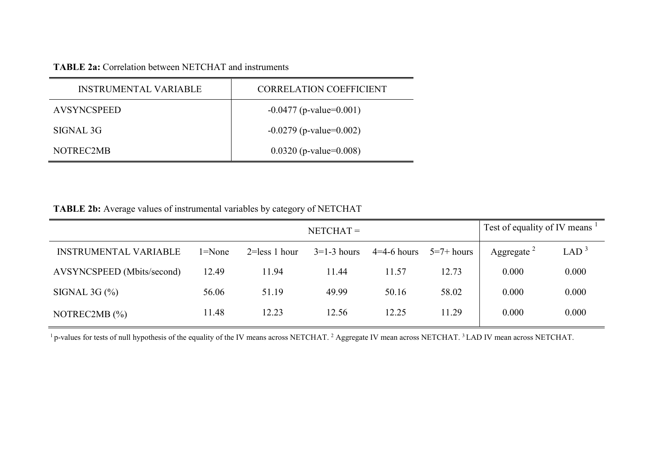### **TABLE 2a:** Correlation between NETCHAT and instruments

| <b>INSTRUMENTAL VARIABLE</b> | <b>CORRELATION COEFFICIENT</b> |
|------------------------------|--------------------------------|
| <b>AVSYNCSPEED</b>           | $-0.0477$ (p-value=0.001)      |
| SIGNAL 3G                    | $-0.0279$ (p-value=0.002)      |
| NOTREC2MB                    | $0.0320$ (p-value= $0.008$ )   |

**TABLE 2b:** Average values of instrumental variables by category of NETCHAT

|                              | $NETCHAT =$ |                   |               |               |              | Test of equality of IV means |                  |  |
|------------------------------|-------------|-------------------|---------------|---------------|--------------|------------------------------|------------------|--|
| <b>INSTRUMENTAL VARIABLE</b> | 1=None      | $2 =$ less 1 hour | $3=1-3$ hours | $4=4-6$ hours | $5=7+ hours$ | Aggregate $2$                | LAD <sup>3</sup> |  |
| AVSYNCSPEED (Mbits/second)   | 12.49       | 11.94             | 11.44         | 11.57         | 12.73        | 0.000                        | 0.000            |  |
| SIGNAL 3G $(\%)$             | 56.06       | 51.19             | 49.99         | 50.16         | 58.02        | 0.000                        | 0.000            |  |
| NOTREC2MB $(\% )$            | 11.48       | 12.23             | 12.56         | 12.25         | 11.29        | 0.000                        | 0.000            |  |

<sup>1</sup> p-values for tests of null hypothesis of the equality of the IV means across NETCHAT.<sup>2</sup> Aggregate IV mean across NETCHAT.<sup>3</sup> LAD IV mean across NETCHAT.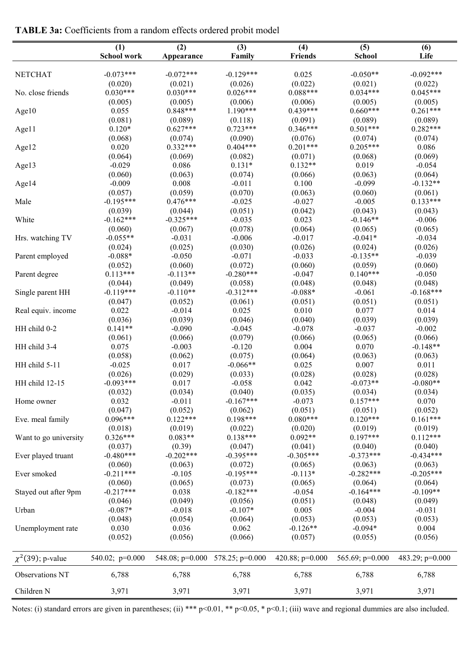| <b>TABLE 3a:</b> Coefficients from a random effects ordered probit model |  |  |  |  |  |  |
|--------------------------------------------------------------------------|--|--|--|--|--|--|
|--------------------------------------------------------------------------|--|--|--|--|--|--|

| $-0.073***$<br>$-0.072***$<br>$-0.129***$<br>0.025<br>$-0.092***$<br><b>NETCHAT</b><br>$-0.050**$<br>(0.022)<br>(0.020)<br>(0.021)<br>(0.026)<br>(0.021)<br>(0.022)<br>$0.030***$<br>$0.030***$<br>$0.026***$<br>$0.088***$<br>$0.034***$<br>$0.045***$<br>No. close friends<br>(0.005)<br>(0.005)<br>(0.006)<br>(0.006)<br>(0.005)<br>(0.005)<br>$0.848***$<br>$1.190***$<br>$0.439***$<br>$0.660***$<br>$0.261***$<br>0.055<br>Age10<br>(0.089)<br>(0.089)<br>(0.081)<br>(0.089)<br>(0.118)<br>(0.091)<br>$0.120*$<br>$0.627***$<br>$0.723***$<br>$0.346***$<br>$0.501***$<br>$0.282***$<br>Age11<br>(0.068)<br>(0.074)<br>(0.090)<br>(0.076)<br>(0.074)<br>(0.074)<br>$0.332***$<br>0.020<br>$0.404***$<br>$0.201***$<br>$0.205***$<br>0.086<br>Age12<br>(0.064)<br>(0.069)<br>(0.082)<br>(0.071)<br>(0.068)<br>(0.069)<br>$-0.029$<br>0.086<br>$0.131*$<br>$0.132**$<br>0.019<br>$-0.054$<br>Age13<br>(0.060)<br>(0.063)<br>(0.074)<br>(0.066)<br>(0.063)<br>(0.064)<br>0.008<br>$-0.009$<br>$-0.011$<br>0.100<br>$-0.099$<br>$-0.132**$<br>Age14<br>(0.059)<br>(0.070)<br>(0.063)<br>(0.057)<br>(0.060)<br>(0.061)<br>$-0.195***$<br>$0.476***$<br>$-0.025$<br>$-0.027$<br>$-0.005$<br>$0.133***$<br>Male<br>(0.039)<br>(0.044)<br>(0.051)<br>(0.042)<br>(0.043)<br>(0.043)<br>$-0.162***$<br>$-0.325***$<br>0.023<br>$-0.146**$<br>White<br>$-0.035$<br>$-0.006$<br>(0.067)<br>(0.078)<br>(0.064)<br>(0.060)<br>(0.065)<br>(0.065)<br>$-0.055**$<br>$-0.017$<br>$-0.041*$<br>Hrs. watching TV<br>$-0.031$<br>$-0.006$<br>$-0.034$<br>(0.024)<br>(0.025)<br>(0.030)<br>(0.026)<br>(0.024)<br>(0.026)<br>$-0.088*$<br>$-0.033$<br>$-0.135**$<br>Parent employed<br>$-0.050$<br>$-0.071$<br>$-0.039$<br>(0.052)<br>(0.060)<br>(0.072)<br>(0.060)<br>(0.059)<br>(0.060)<br>$0.113***$<br>$-0.280***$<br>$0.140***$<br>$-0.113**$<br>$-0.047$<br>$-0.050$<br>Parent degree<br>(0.044)<br>(0.049)<br>(0.058)<br>(0.048)<br>(0.048)<br>(0.048)<br>$-0.312***$<br>$-0.168***$<br>$-0.119***$<br>$-0.110**$<br>$-0.088*$<br>$-0.061$<br>Single parent HH<br>(0.047)<br>(0.052)<br>(0.061)<br>(0.051)<br>(0.051)<br>(0.051)<br>0.022<br>0.025<br>0.077<br>$-0.014$<br>0.010<br>0.014<br>Real equiv. income<br>(0.036)<br>(0.039)<br>(0.046)<br>(0.040)<br>(0.039)<br>(0.039)<br>$0.141**$<br>HH child 0-2<br>$-0.090$<br>$-0.045$<br>$-0.078$<br>$-0.037$<br>$-0.002$<br>(0.061)<br>(0.079)<br>(0.066)<br>(0.066)<br>(0.065)<br>(0.066)<br>0.075<br>0.004<br>$-0.148**$<br>HH child 3-4<br>$-0.003$<br>$-0.120$<br>0.070 | (1)<br><b>School work</b> | (2)<br>Appearance | (3)<br>Family | (4)<br><b>Friends</b> | (5)<br><b>School</b> | (6)<br>Life |
|----------------------------------------------------------------------------------------------------------------------------------------------------------------------------------------------------------------------------------------------------------------------------------------------------------------------------------------------------------------------------------------------------------------------------------------------------------------------------------------------------------------------------------------------------------------------------------------------------------------------------------------------------------------------------------------------------------------------------------------------------------------------------------------------------------------------------------------------------------------------------------------------------------------------------------------------------------------------------------------------------------------------------------------------------------------------------------------------------------------------------------------------------------------------------------------------------------------------------------------------------------------------------------------------------------------------------------------------------------------------------------------------------------------------------------------------------------------------------------------------------------------------------------------------------------------------------------------------------------------------------------------------------------------------------------------------------------------------------------------------------------------------------------------------------------------------------------------------------------------------------------------------------------------------------------------------------------------------------------------------------------------------------------------------------------------------------------------------------------------------------------------------------------------------------------------------------------------------------------------------------------------------------------------------------------------------------------------------------------------------------------------------------------------------------------------------------------------------------------------------------------------------|---------------------------|-------------------|---------------|-----------------------|----------------------|-------------|
|                                                                                                                                                                                                                                                                                                                                                                                                                                                                                                                                                                                                                                                                                                                                                                                                                                                                                                                                                                                                                                                                                                                                                                                                                                                                                                                                                                                                                                                                                                                                                                                                                                                                                                                                                                                                                                                                                                                                                                                                                                                                                                                                                                                                                                                                                                                                                                                                                                                                                                                      |                           |                   |               |                       |                      |             |
|                                                                                                                                                                                                                                                                                                                                                                                                                                                                                                                                                                                                                                                                                                                                                                                                                                                                                                                                                                                                                                                                                                                                                                                                                                                                                                                                                                                                                                                                                                                                                                                                                                                                                                                                                                                                                                                                                                                                                                                                                                                                                                                                                                                                                                                                                                                                                                                                                                                                                                                      |                           |                   |               |                       |                      |             |
|                                                                                                                                                                                                                                                                                                                                                                                                                                                                                                                                                                                                                                                                                                                                                                                                                                                                                                                                                                                                                                                                                                                                                                                                                                                                                                                                                                                                                                                                                                                                                                                                                                                                                                                                                                                                                                                                                                                                                                                                                                                                                                                                                                                                                                                                                                                                                                                                                                                                                                                      |                           |                   |               |                       |                      |             |
|                                                                                                                                                                                                                                                                                                                                                                                                                                                                                                                                                                                                                                                                                                                                                                                                                                                                                                                                                                                                                                                                                                                                                                                                                                                                                                                                                                                                                                                                                                                                                                                                                                                                                                                                                                                                                                                                                                                                                                                                                                                                                                                                                                                                                                                                                                                                                                                                                                                                                                                      |                           |                   |               |                       |                      |             |
|                                                                                                                                                                                                                                                                                                                                                                                                                                                                                                                                                                                                                                                                                                                                                                                                                                                                                                                                                                                                                                                                                                                                                                                                                                                                                                                                                                                                                                                                                                                                                                                                                                                                                                                                                                                                                                                                                                                                                                                                                                                                                                                                                                                                                                                                                                                                                                                                                                                                                                                      |                           |                   |               |                       |                      |             |
|                                                                                                                                                                                                                                                                                                                                                                                                                                                                                                                                                                                                                                                                                                                                                                                                                                                                                                                                                                                                                                                                                                                                                                                                                                                                                                                                                                                                                                                                                                                                                                                                                                                                                                                                                                                                                                                                                                                                                                                                                                                                                                                                                                                                                                                                                                                                                                                                                                                                                                                      |                           |                   |               |                       |                      |             |
|                                                                                                                                                                                                                                                                                                                                                                                                                                                                                                                                                                                                                                                                                                                                                                                                                                                                                                                                                                                                                                                                                                                                                                                                                                                                                                                                                                                                                                                                                                                                                                                                                                                                                                                                                                                                                                                                                                                                                                                                                                                                                                                                                                                                                                                                                                                                                                                                                                                                                                                      |                           |                   |               |                       |                      |             |
|                                                                                                                                                                                                                                                                                                                                                                                                                                                                                                                                                                                                                                                                                                                                                                                                                                                                                                                                                                                                                                                                                                                                                                                                                                                                                                                                                                                                                                                                                                                                                                                                                                                                                                                                                                                                                                                                                                                                                                                                                                                                                                                                                                                                                                                                                                                                                                                                                                                                                                                      |                           |                   |               |                       |                      |             |
|                                                                                                                                                                                                                                                                                                                                                                                                                                                                                                                                                                                                                                                                                                                                                                                                                                                                                                                                                                                                                                                                                                                                                                                                                                                                                                                                                                                                                                                                                                                                                                                                                                                                                                                                                                                                                                                                                                                                                                                                                                                                                                                                                                                                                                                                                                                                                                                                                                                                                                                      |                           |                   |               |                       |                      |             |
|                                                                                                                                                                                                                                                                                                                                                                                                                                                                                                                                                                                                                                                                                                                                                                                                                                                                                                                                                                                                                                                                                                                                                                                                                                                                                                                                                                                                                                                                                                                                                                                                                                                                                                                                                                                                                                                                                                                                                                                                                                                                                                                                                                                                                                                                                                                                                                                                                                                                                                                      |                           |                   |               |                       |                      |             |
|                                                                                                                                                                                                                                                                                                                                                                                                                                                                                                                                                                                                                                                                                                                                                                                                                                                                                                                                                                                                                                                                                                                                                                                                                                                                                                                                                                                                                                                                                                                                                                                                                                                                                                                                                                                                                                                                                                                                                                                                                                                                                                                                                                                                                                                                                                                                                                                                                                                                                                                      |                           |                   |               |                       |                      |             |
|                                                                                                                                                                                                                                                                                                                                                                                                                                                                                                                                                                                                                                                                                                                                                                                                                                                                                                                                                                                                                                                                                                                                                                                                                                                                                                                                                                                                                                                                                                                                                                                                                                                                                                                                                                                                                                                                                                                                                                                                                                                                                                                                                                                                                                                                                                                                                                                                                                                                                                                      |                           |                   |               |                       |                      |             |
|                                                                                                                                                                                                                                                                                                                                                                                                                                                                                                                                                                                                                                                                                                                                                                                                                                                                                                                                                                                                                                                                                                                                                                                                                                                                                                                                                                                                                                                                                                                                                                                                                                                                                                                                                                                                                                                                                                                                                                                                                                                                                                                                                                                                                                                                                                                                                                                                                                                                                                                      |                           |                   |               |                       |                      |             |
|                                                                                                                                                                                                                                                                                                                                                                                                                                                                                                                                                                                                                                                                                                                                                                                                                                                                                                                                                                                                                                                                                                                                                                                                                                                                                                                                                                                                                                                                                                                                                                                                                                                                                                                                                                                                                                                                                                                                                                                                                                                                                                                                                                                                                                                                                                                                                                                                                                                                                                                      |                           |                   |               |                       |                      |             |
|                                                                                                                                                                                                                                                                                                                                                                                                                                                                                                                                                                                                                                                                                                                                                                                                                                                                                                                                                                                                                                                                                                                                                                                                                                                                                                                                                                                                                                                                                                                                                                                                                                                                                                                                                                                                                                                                                                                                                                                                                                                                                                                                                                                                                                                                                                                                                                                                                                                                                                                      |                           |                   |               |                       |                      |             |
|                                                                                                                                                                                                                                                                                                                                                                                                                                                                                                                                                                                                                                                                                                                                                                                                                                                                                                                                                                                                                                                                                                                                                                                                                                                                                                                                                                                                                                                                                                                                                                                                                                                                                                                                                                                                                                                                                                                                                                                                                                                                                                                                                                                                                                                                                                                                                                                                                                                                                                                      |                           |                   |               |                       |                      |             |
|                                                                                                                                                                                                                                                                                                                                                                                                                                                                                                                                                                                                                                                                                                                                                                                                                                                                                                                                                                                                                                                                                                                                                                                                                                                                                                                                                                                                                                                                                                                                                                                                                                                                                                                                                                                                                                                                                                                                                                                                                                                                                                                                                                                                                                                                                                                                                                                                                                                                                                                      |                           |                   |               |                       |                      |             |
|                                                                                                                                                                                                                                                                                                                                                                                                                                                                                                                                                                                                                                                                                                                                                                                                                                                                                                                                                                                                                                                                                                                                                                                                                                                                                                                                                                                                                                                                                                                                                                                                                                                                                                                                                                                                                                                                                                                                                                                                                                                                                                                                                                                                                                                                                                                                                                                                                                                                                                                      |                           |                   |               |                       |                      |             |
|                                                                                                                                                                                                                                                                                                                                                                                                                                                                                                                                                                                                                                                                                                                                                                                                                                                                                                                                                                                                                                                                                                                                                                                                                                                                                                                                                                                                                                                                                                                                                                                                                                                                                                                                                                                                                                                                                                                                                                                                                                                                                                                                                                                                                                                                                                                                                                                                                                                                                                                      |                           |                   |               |                       |                      |             |
|                                                                                                                                                                                                                                                                                                                                                                                                                                                                                                                                                                                                                                                                                                                                                                                                                                                                                                                                                                                                                                                                                                                                                                                                                                                                                                                                                                                                                                                                                                                                                                                                                                                                                                                                                                                                                                                                                                                                                                                                                                                                                                                                                                                                                                                                                                                                                                                                                                                                                                                      |                           |                   |               |                       |                      |             |
|                                                                                                                                                                                                                                                                                                                                                                                                                                                                                                                                                                                                                                                                                                                                                                                                                                                                                                                                                                                                                                                                                                                                                                                                                                                                                                                                                                                                                                                                                                                                                                                                                                                                                                                                                                                                                                                                                                                                                                                                                                                                                                                                                                                                                                                                                                                                                                                                                                                                                                                      |                           |                   |               |                       |                      |             |
|                                                                                                                                                                                                                                                                                                                                                                                                                                                                                                                                                                                                                                                                                                                                                                                                                                                                                                                                                                                                                                                                                                                                                                                                                                                                                                                                                                                                                                                                                                                                                                                                                                                                                                                                                                                                                                                                                                                                                                                                                                                                                                                                                                                                                                                                                                                                                                                                                                                                                                                      |                           |                   |               |                       |                      |             |
|                                                                                                                                                                                                                                                                                                                                                                                                                                                                                                                                                                                                                                                                                                                                                                                                                                                                                                                                                                                                                                                                                                                                                                                                                                                                                                                                                                                                                                                                                                                                                                                                                                                                                                                                                                                                                                                                                                                                                                                                                                                                                                                                                                                                                                                                                                                                                                                                                                                                                                                      |                           |                   |               |                       |                      |             |
|                                                                                                                                                                                                                                                                                                                                                                                                                                                                                                                                                                                                                                                                                                                                                                                                                                                                                                                                                                                                                                                                                                                                                                                                                                                                                                                                                                                                                                                                                                                                                                                                                                                                                                                                                                                                                                                                                                                                                                                                                                                                                                                                                                                                                                                                                                                                                                                                                                                                                                                      |                           |                   |               |                       |                      |             |
|                                                                                                                                                                                                                                                                                                                                                                                                                                                                                                                                                                                                                                                                                                                                                                                                                                                                                                                                                                                                                                                                                                                                                                                                                                                                                                                                                                                                                                                                                                                                                                                                                                                                                                                                                                                                                                                                                                                                                                                                                                                                                                                                                                                                                                                                                                                                                                                                                                                                                                                      |                           |                   |               |                       |                      |             |
|                                                                                                                                                                                                                                                                                                                                                                                                                                                                                                                                                                                                                                                                                                                                                                                                                                                                                                                                                                                                                                                                                                                                                                                                                                                                                                                                                                                                                                                                                                                                                                                                                                                                                                                                                                                                                                                                                                                                                                                                                                                                                                                                                                                                                                                                                                                                                                                                                                                                                                                      |                           |                   |               |                       |                      |             |
|                                                                                                                                                                                                                                                                                                                                                                                                                                                                                                                                                                                                                                                                                                                                                                                                                                                                                                                                                                                                                                                                                                                                                                                                                                                                                                                                                                                                                                                                                                                                                                                                                                                                                                                                                                                                                                                                                                                                                                                                                                                                                                                                                                                                                                                                                                                                                                                                                                                                                                                      |                           |                   |               |                       |                      |             |
|                                                                                                                                                                                                                                                                                                                                                                                                                                                                                                                                                                                                                                                                                                                                                                                                                                                                                                                                                                                                                                                                                                                                                                                                                                                                                                                                                                                                                                                                                                                                                                                                                                                                                                                                                                                                                                                                                                                                                                                                                                                                                                                                                                                                                                                                                                                                                                                                                                                                                                                      |                           |                   |               |                       |                      |             |
|                                                                                                                                                                                                                                                                                                                                                                                                                                                                                                                                                                                                                                                                                                                                                                                                                                                                                                                                                                                                                                                                                                                                                                                                                                                                                                                                                                                                                                                                                                                                                                                                                                                                                                                                                                                                                                                                                                                                                                                                                                                                                                                                                                                                                                                                                                                                                                                                                                                                                                                      |                           |                   |               |                       |                      |             |
|                                                                                                                                                                                                                                                                                                                                                                                                                                                                                                                                                                                                                                                                                                                                                                                                                                                                                                                                                                                                                                                                                                                                                                                                                                                                                                                                                                                                                                                                                                                                                                                                                                                                                                                                                                                                                                                                                                                                                                                                                                                                                                                                                                                                                                                                                                                                                                                                                                                                                                                      |                           |                   |               |                       |                      |             |
| (0.058)<br>(0.062)<br>(0.075)<br>(0.064)<br>(0.063)<br>(0.063)                                                                                                                                                                                                                                                                                                                                                                                                                                                                                                                                                                                                                                                                                                                                                                                                                                                                                                                                                                                                                                                                                                                                                                                                                                                                                                                                                                                                                                                                                                                                                                                                                                                                                                                                                                                                                                                                                                                                                                                                                                                                                                                                                                                                                                                                                                                                                                                                                                                       |                           |                   |               |                       |                      |             |
| $-0.025$<br>0.017<br>$-0.066**$<br>0.025<br>0.007<br>HH child 5-11<br>0.011                                                                                                                                                                                                                                                                                                                                                                                                                                                                                                                                                                                                                                                                                                                                                                                                                                                                                                                                                                                                                                                                                                                                                                                                                                                                                                                                                                                                                                                                                                                                                                                                                                                                                                                                                                                                                                                                                                                                                                                                                                                                                                                                                                                                                                                                                                                                                                                                                                          |                           |                   |               |                       |                      |             |
| (0.026)<br>(0.029)<br>(0.033)<br>(0.028)<br>(0.028)<br>(0.028)                                                                                                                                                                                                                                                                                                                                                                                                                                                                                                                                                                                                                                                                                                                                                                                                                                                                                                                                                                                                                                                                                                                                                                                                                                                                                                                                                                                                                                                                                                                                                                                                                                                                                                                                                                                                                                                                                                                                                                                                                                                                                                                                                                                                                                                                                                                                                                                                                                                       |                           |                   |               |                       |                      |             |
| $-0.093***$<br>0.042<br>$-0.073**$<br>$-0.080**$<br>HH child 12-15<br>0.017<br>$-0.058$                                                                                                                                                                                                                                                                                                                                                                                                                                                                                                                                                                                                                                                                                                                                                                                                                                                                                                                                                                                                                                                                                                                                                                                                                                                                                                                                                                                                                                                                                                                                                                                                                                                                                                                                                                                                                                                                                                                                                                                                                                                                                                                                                                                                                                                                                                                                                                                                                              |                           |                   |               |                       |                      |             |
| (0.032)<br>(0.034)<br>(0.040)<br>(0.035)<br>(0.034)<br>(0.034)                                                                                                                                                                                                                                                                                                                                                                                                                                                                                                                                                                                                                                                                                                                                                                                                                                                                                                                                                                                                                                                                                                                                                                                                                                                                                                                                                                                                                                                                                                                                                                                                                                                                                                                                                                                                                                                                                                                                                                                                                                                                                                                                                                                                                                                                                                                                                                                                                                                       |                           |                   |               |                       |                      |             |
| $-0.167***$<br>$0.157***$<br>0.032<br>$-0.011$<br>$-0.073$<br>0.070<br>Home owner                                                                                                                                                                                                                                                                                                                                                                                                                                                                                                                                                                                                                                                                                                                                                                                                                                                                                                                                                                                                                                                                                                                                                                                                                                                                                                                                                                                                                                                                                                                                                                                                                                                                                                                                                                                                                                                                                                                                                                                                                                                                                                                                                                                                                                                                                                                                                                                                                                    |                           |                   |               |                       |                      |             |
| (0.047)<br>(0.052)<br>(0.051)<br>(0.062)<br>(0.051)<br>(0.052)                                                                                                                                                                                                                                                                                                                                                                                                                                                                                                                                                                                                                                                                                                                                                                                                                                                                                                                                                                                                                                                                                                                                                                                                                                                                                                                                                                                                                                                                                                                                                                                                                                                                                                                                                                                                                                                                                                                                                                                                                                                                                                                                                                                                                                                                                                                                                                                                                                                       |                           |                   |               |                       |                      |             |
| $0.198***$<br>$0.096***$<br>$0.122***$<br>$0.080***$<br>$0.120***$<br>$0.161***$<br>Eve. meal family                                                                                                                                                                                                                                                                                                                                                                                                                                                                                                                                                                                                                                                                                                                                                                                                                                                                                                                                                                                                                                                                                                                                                                                                                                                                                                                                                                                                                                                                                                                                                                                                                                                                                                                                                                                                                                                                                                                                                                                                                                                                                                                                                                                                                                                                                                                                                                                                                 |                           |                   |               |                       |                      |             |
| (0.019)<br>(0.018)<br>(0.019)<br>(0.022)<br>(0.020)<br>(0.019)                                                                                                                                                                                                                                                                                                                                                                                                                                                                                                                                                                                                                                                                                                                                                                                                                                                                                                                                                                                                                                                                                                                                                                                                                                                                                                                                                                                                                                                                                                                                                                                                                                                                                                                                                                                                                                                                                                                                                                                                                                                                                                                                                                                                                                                                                                                                                                                                                                                       |                           |                   |               |                       |                      |             |
| $0.326***$<br>$0.083**$<br>$0.138***$<br>$0.092**$<br>$0.197***$<br>$0.112***$<br>Want to go university                                                                                                                                                                                                                                                                                                                                                                                                                                                                                                                                                                                                                                                                                                                                                                                                                                                                                                                                                                                                                                                                                                                                                                                                                                                                                                                                                                                                                                                                                                                                                                                                                                                                                                                                                                                                                                                                                                                                                                                                                                                                                                                                                                                                                                                                                                                                                                                                              |                           |                   |               |                       |                      |             |
| (0.037)<br>(0.040)<br>(0.040)<br>(0.39)<br>(0.047)<br>(0.041)                                                                                                                                                                                                                                                                                                                                                                                                                                                                                                                                                                                                                                                                                                                                                                                                                                                                                                                                                                                                                                                                                                                                                                                                                                                                                                                                                                                                                                                                                                                                                                                                                                                                                                                                                                                                                                                                                                                                                                                                                                                                                                                                                                                                                                                                                                                                                                                                                                                        |                           |                   |               |                       |                      |             |
| $-0.480***$<br>$-0.202***$<br>$-0.395***$<br>$-0.305***$<br>$-0.373***$<br>$-0.434***$<br>Ever played truant                                                                                                                                                                                                                                                                                                                                                                                                                                                                                                                                                                                                                                                                                                                                                                                                                                                                                                                                                                                                                                                                                                                                                                                                                                                                                                                                                                                                                                                                                                                                                                                                                                                                                                                                                                                                                                                                                                                                                                                                                                                                                                                                                                                                                                                                                                                                                                                                         |                           |                   |               |                       |                      |             |
| (0.060)<br>(0.065)<br>(0.063)<br>(0.063)<br>(0.063)<br>(0.072)                                                                                                                                                                                                                                                                                                                                                                                                                                                                                                                                                                                                                                                                                                                                                                                                                                                                                                                                                                                                                                                                                                                                                                                                                                                                                                                                                                                                                                                                                                                                                                                                                                                                                                                                                                                                                                                                                                                                                                                                                                                                                                                                                                                                                                                                                                                                                                                                                                                       |                           |                   |               |                       |                      |             |
| $-0.211***$<br>$-0.195***$<br>$-0.282***$<br>$-0.205***$<br>$-0.105$<br>$-0.113*$<br>Ever smoked                                                                                                                                                                                                                                                                                                                                                                                                                                                                                                                                                                                                                                                                                                                                                                                                                                                                                                                                                                                                                                                                                                                                                                                                                                                                                                                                                                                                                                                                                                                                                                                                                                                                                                                                                                                                                                                                                                                                                                                                                                                                                                                                                                                                                                                                                                                                                                                                                     |                           |                   |               |                       |                      |             |
| (0.060)<br>(0.065)<br>(0.065)<br>(0.064)<br>(0.064)<br>(0.073)                                                                                                                                                                                                                                                                                                                                                                                                                                                                                                                                                                                                                                                                                                                                                                                                                                                                                                                                                                                                                                                                                                                                                                                                                                                                                                                                                                                                                                                                                                                                                                                                                                                                                                                                                                                                                                                                                                                                                                                                                                                                                                                                                                                                                                                                                                                                                                                                                                                       |                           |                   |               |                       |                      |             |
| $-0.217***$<br>$-0.182***$<br>$-0.164***$<br>$-0.109**$<br>0.038<br>$-0.054$<br>Stayed out after 9pm                                                                                                                                                                                                                                                                                                                                                                                                                                                                                                                                                                                                                                                                                                                                                                                                                                                                                                                                                                                                                                                                                                                                                                                                                                                                                                                                                                                                                                                                                                                                                                                                                                                                                                                                                                                                                                                                                                                                                                                                                                                                                                                                                                                                                                                                                                                                                                                                                 |                           |                   |               |                       |                      |             |
| (0.049)<br>(0.051)<br>(0.048)<br>(0.046)<br>(0.056)<br>(0.049)                                                                                                                                                                                                                                                                                                                                                                                                                                                                                                                                                                                                                                                                                                                                                                                                                                                                                                                                                                                                                                                                                                                                                                                                                                                                                                                                                                                                                                                                                                                                                                                                                                                                                                                                                                                                                                                                                                                                                                                                                                                                                                                                                                                                                                                                                                                                                                                                                                                       |                           |                   |               |                       |                      |             |
| $-0.087*$<br>$-0.018$<br>$-0.107*$<br>0.005<br>$-0.004$<br>$-0.031$<br>Urban                                                                                                                                                                                                                                                                                                                                                                                                                                                                                                                                                                                                                                                                                                                                                                                                                                                                                                                                                                                                                                                                                                                                                                                                                                                                                                                                                                                                                                                                                                                                                                                                                                                                                                                                                                                                                                                                                                                                                                                                                                                                                                                                                                                                                                                                                                                                                                                                                                         |                           |                   |               |                       |                      |             |
| (0.048)<br>(0.054)<br>(0.053)<br>(0.053)<br>(0.053)<br>(0.064)                                                                                                                                                                                                                                                                                                                                                                                                                                                                                                                                                                                                                                                                                                                                                                                                                                                                                                                                                                                                                                                                                                                                                                                                                                                                                                                                                                                                                                                                                                                                                                                                                                                                                                                                                                                                                                                                                                                                                                                                                                                                                                                                                                                                                                                                                                                                                                                                                                                       |                           |                   |               |                       |                      |             |
| 0.030<br>$-0.126**$<br>$-0.094*$<br>0.036<br>0.062<br>0.004<br>Unemployment rate                                                                                                                                                                                                                                                                                                                                                                                                                                                                                                                                                                                                                                                                                                                                                                                                                                                                                                                                                                                                                                                                                                                                                                                                                                                                                                                                                                                                                                                                                                                                                                                                                                                                                                                                                                                                                                                                                                                                                                                                                                                                                                                                                                                                                                                                                                                                                                                                                                     |                           |                   |               |                       |                      |             |
| (0.052)<br>(0.056)<br>(0.066)<br>(0.057)<br>(0.055)<br>(0.056)                                                                                                                                                                                                                                                                                                                                                                                                                                                                                                                                                                                                                                                                                                                                                                                                                                                                                                                                                                                                                                                                                                                                                                                                                                                                                                                                                                                                                                                                                                                                                                                                                                                                                                                                                                                                                                                                                                                                                                                                                                                                                                                                                                                                                                                                                                                                                                                                                                                       |                           |                   |               |                       |                      |             |
|                                                                                                                                                                                                                                                                                                                                                                                                                                                                                                                                                                                                                                                                                                                                                                                                                                                                                                                                                                                                                                                                                                                                                                                                                                                                                                                                                                                                                                                                                                                                                                                                                                                                                                                                                                                                                                                                                                                                                                                                                                                                                                                                                                                                                                                                                                                                                                                                                                                                                                                      |                           |                   |               |                       |                      |             |
| $\chi^2(39)$ ; p-value<br>$540.02; p=0.000$<br>548.08; p=0.000 578.25; p=0.000<br>420.88; $p=0.000$<br>$565.69; p=0.000$<br>483.29; $p=0.000$                                                                                                                                                                                                                                                                                                                                                                                                                                                                                                                                                                                                                                                                                                                                                                                                                                                                                                                                                                                                                                                                                                                                                                                                                                                                                                                                                                                                                                                                                                                                                                                                                                                                                                                                                                                                                                                                                                                                                                                                                                                                                                                                                                                                                                                                                                                                                                        |                           |                   |               |                       |                      |             |
| Observations NT<br>6,788<br>6,788<br>6,788<br>6,788<br>6,788<br>6,788                                                                                                                                                                                                                                                                                                                                                                                                                                                                                                                                                                                                                                                                                                                                                                                                                                                                                                                                                                                                                                                                                                                                                                                                                                                                                                                                                                                                                                                                                                                                                                                                                                                                                                                                                                                                                                                                                                                                                                                                                                                                                                                                                                                                                                                                                                                                                                                                                                                |                           |                   |               |                       |                      |             |
| Children N<br>3,971<br>3,971<br>3,971<br>3,971<br>3,971<br>3,971                                                                                                                                                                                                                                                                                                                                                                                                                                                                                                                                                                                                                                                                                                                                                                                                                                                                                                                                                                                                                                                                                                                                                                                                                                                                                                                                                                                                                                                                                                                                                                                                                                                                                                                                                                                                                                                                                                                                                                                                                                                                                                                                                                                                                                                                                                                                                                                                                                                     |                           |                   |               |                       |                      |             |

Notes: (i) standard errors are given in parentheses; (ii) \*\*\* p<0.01, \*\* p<0.05, \* p<0.1; (iii) wave and regional dummies are also included.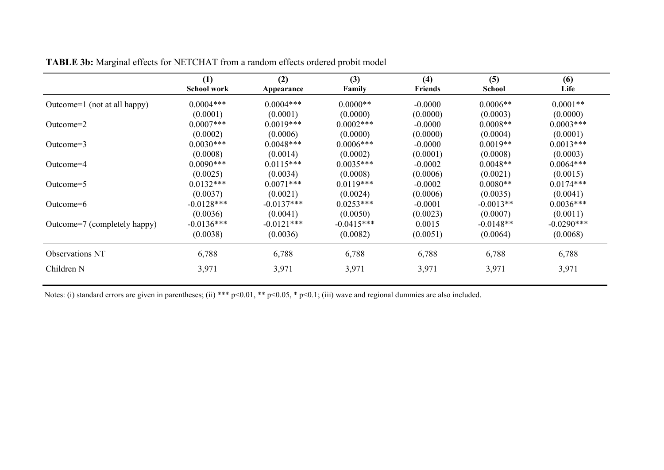|                              | (1)<br><b>School work</b> | (2)<br>Appearance | (3)<br>Family | (4)<br><b>Friends</b> | (5)<br><b>School</b> | (6)<br>Life   |
|------------------------------|---------------------------|-------------------|---------------|-----------------------|----------------------|---------------|
| Outcome=1 (not at all happy) | $0.0004***$               | $0.0004***$       | $0.0000**$    | $-0.0000$             | $0.0006**$           | $0.0001**$    |
|                              | (0.0001)                  | (0.0001)          | (0.0000)      | (0.0000)              | (0.0003)             | (0.0000)      |
| Outcome= $2$                 | $0.0007***$               | $0.0019***$       | $0.0002$ ***  | $-0.0000$             | $0.0008**$           | $0.0003$ ***  |
|                              | (0.0002)                  | (0.0006)          | (0.0000)      | (0.0000)              | (0.0004)             | (0.0001)      |
| Outcome= $3$                 | $0.0030***$               | $0.0048***$       | $0.0006***$   | $-0.0000$             | $0.0019**$           | $0.0013***$   |
|                              | (0.0008)                  | (0.0014)          | (0.0002)      | (0.0001)              | (0.0008)             | (0.0003)      |
| Outcome $=4$                 | $0.0090***$               | $0.0115***$       | $0.0035***$   | $-0.0002$             | $0.0048**$           | $0.0064***$   |
|                              | (0.0025)                  | (0.0034)          | (0.0008)      | (0.0006)              | (0.0021)             | (0.0015)      |
| Outcome=5                    | $0.0132***$               | $0.0071***$       | $0.0119***$   | $-0.0002$             | $0.0080**$           | $0.0174***$   |
|                              | (0.0037)                  | (0.0021)          | (0.0024)      | (0.0006)              | (0.0035)             | (0.0041)      |
| Outcome=6                    | $-0.0128***$              | $-0.0137***$      | $0.0253***$   | $-0.0001$             | $-0.0013**$          | $0.0036***$   |
|                              | (0.0036)                  | (0.0041)          | (0.0050)      | (0.0023)              | (0.0007)             | (0.0011)      |
| Outcome=7 (completely happy) | $-0.0136***$              | $-0.0121***$      | $-0.0415***$  | 0.0015                | $-0.0148**$          | $-0.0290$ *** |
|                              | (0.0038)                  | (0.0036)          | (0.0082)      | (0.0051)              | (0.0064)             | (0.0068)      |
| <b>Observations NT</b>       | 6,788                     | 6,788             | 6,788         | 6,788                 | 6,788                | 6,788         |
| Children N                   | 3,971                     | 3,971             | 3,971         | 3,971                 | 3,971                | 3,971         |

**TABLE 3b:** Marginal effects for NETCHAT from a random effects ordered probit model

Notes: (i) standard errors are given in parentheses; (ii) \*\*\* p<0.01, \*\* p<0.05, \* p<0.1; (iii) wave and regional dummies are also included.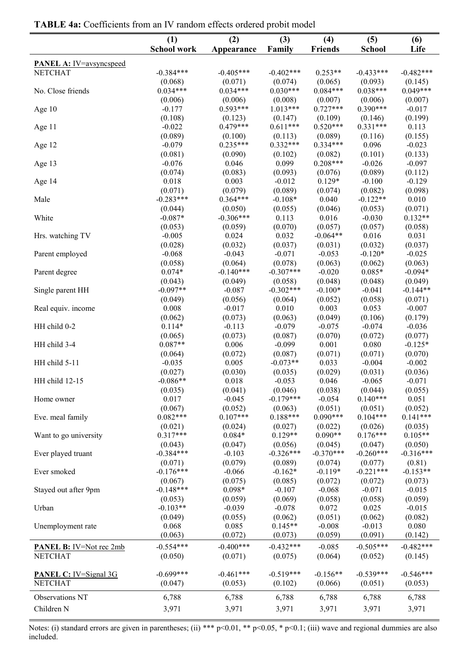|                                | (1)                 | (2)                 | (3)                 | (4)                 | (5)                 | (6)                 |
|--------------------------------|---------------------|---------------------|---------------------|---------------------|---------------------|---------------------|
|                                | <b>School work</b>  | Appearance          | Family              | <b>Friends</b>      | <b>School</b>       | Life                |
| <b>PANEL A:</b> IV=avsyncspeed |                     |                     |                     |                     |                     |                     |
| <b>NETCHAT</b>                 | $-0.384***$         | $-0.405***$         | $-0.402***$         | $0.253**$           | $-0.433***$         | $-0.482***$         |
|                                | (0.068)             | (0.071)             | (0.074)             | (0.065)             | (0.093)             | (0.145)             |
| No. Close friends              | $0.034***$          | $0.034***$          | $0.030***$          | $0.084***$          | $0.038***$          | $0.049***$          |
|                                | (0.006)             | (0.006)             | (0.008)             | (0.007)             | (0.006)             | (0.007)             |
| Age 10                         | $-0.177$            | $0.593***$          | $1.013***$          | $0.727***$          | $0.390***$          | $-0.017$            |
|                                | (0.108)             | (0.123)             | (0.147)             | (0.109)             | (0.146)             | (0.199)             |
| Age 11                         | $-0.022$            | $0.479***$          | $0.611***$          | $0.520***$          | $0.331***$          | 0.113               |
|                                | (0.089)             | (0.100)             | (0.113)             | (0.089)             | (0.116)             | (0.155)             |
| Age 12                         | $-0.079$            | $0.235***$          | $0.332***$          | $0.334***$          | 0.096               | $-0.023$            |
|                                | (0.081)             | (0.090)             | (0.102)             | (0.082)             | (0.101)             | (0.133)             |
| Age 13                         | $-0.076$            | 0.046               | 0.099               | $0.208***$          | $-0.026$            | $-0.097$            |
|                                | (0.074)             | (0.083)             | (0.093)             | (0.076)             | (0.089)             | (0.112)             |
| Age 14                         | 0.018               | 0.003               | $-0.012$            | $0.129*$            | $-0.100$            | $-0.129$            |
|                                | (0.071)             | (0.079)             | (0.089)             | (0.074)             | (0.082)             | (0.098)             |
| Male                           | $-0.283***$         | $0.364***$          | $-0.108*$           | 0.040               | $-0.122**$          | 0.010               |
|                                | (0.044)             | (0.050)             | (0.055)             | (0.046)             | (0.053)             | (0.071)             |
| White                          | $-0.087*$           | $-0.306***$         | 0.113               | 0.016               | $-0.030$            | $0.132**$           |
|                                | (0.053)             | (0.059)             | (0.070)             | (0.057)             | (0.057)             | (0.058)             |
| Hrs. watching TV               | $-0.005$            | 0.024               | 0.032               | $-0.064**$          | 0.016               | 0.031               |
|                                | (0.028)             | (0.032)             | (0.037)             | (0.031)             | (0.032)             | (0.037)             |
| Parent employed                | $-0.068$            | $-0.043$            | $-0.071$            | $-0.053$            | $-0.120*$           | $-0.025$            |
|                                | (0.058)             | (0.064)             | (0.078)             | (0.063)             | (0.062)             | (0.063)             |
| Parent degree                  | $0.074*$            | $-0.140***$         | $-0.307***$         | $-0.020$            | $0.085*$            | $-0.094*$           |
|                                | (0.043)             | (0.049)             | (0.058)             | (0.048)             | (0.048)             | (0.049)             |
| Single parent HH               | $-0.097**$          | $-0.087$            | $-0.302***$         | $-0.100*$           | $-0.041$            | $-0.144**$          |
|                                | (0.049)             | (0.056)             | (0.064)             | (0.052)             | (0.058)             | (0.071)             |
| Real equiv. income             | 0.008               | $-0.017$            | 0.010               | 0.003               | 0.053               | $-0.007$            |
| HH child 0-2                   | (0.062)<br>$0.114*$ | (0.073)<br>$-0.113$ | (0.063)<br>$-0.079$ | (0.049)<br>$-0.075$ | (0.106)<br>$-0.074$ | (0.179)<br>$-0.036$ |
|                                | (0.065)             | (0.073)             | (0.087)             | (0.070)             | (0.072)             | (0.077)             |
| HH child 3-4                   | $0.087**$           | 0.006               | $-0.099$            | 0.001               | 0.080               | $-0.125*$           |
|                                | (0.064)             | (0.072)             | (0.087)             | (0.071)             | (0.071)             | (0.070)             |
| HH child 5-11                  | $-0.035$            | 0.005               | $-0.073**$          | 0.033               | $-0.004$            | $-0.002$            |
|                                | (0.027)             | (0.030)             | (0.035)             | (0.029)             | (0.031)             | (0.036)             |
| HH child 12-15                 | $-0.086**$          | 0.018               | $-0.053$            | 0.046               | $-0.065$            | $-0.071$            |
|                                | (0.035)             | (0.041)             | (0.046)             | (0.038)             | (0.044)             | (0.055)             |
| Home owner                     | 0.017               | $-0.045$            | $-0.179***$         | $-0.054$            | $0.140***$          | 0.051               |
|                                | (0.067)             | (0.052)             | (0.063)             | (0.051)             | (0.051)             | (0.052)             |
| Eve. meal family               | $0.082***$          | $0.107***$          | $0.188***$          | $0.090***$          | $0.104***$          | $0.141***$          |
|                                | (0.021)             | (0.024)             | (0.027)             | (0.022)             | (0.026)             | (0.035)             |
| Want to go university          | $0.317***$          | $0.084*$            | $0.129**$           | $0.090**$           | $0.176***$          | $0.105**$           |
|                                | (0.043)             | (0.047)             | (0.056)             | (0.045)             | (0.047)             | (0.050)             |
| Ever played truant             | $-0.384***$         | $-0.103$            | $-0.326***$         | $-0.370***$         | $-0.260***$         | $-0.316***$         |
|                                | (0.071)             | (0.079)             | (0.089)             | (0.074)             | (0.077)             | (0.81)              |
| Ever smoked                    | $-0.176***$         | $-0.066$            | $-0.162*$           | $-0.119*$           | $-0.221***$         | $-0.153**$          |
|                                | (0.067)             | (0.075)             | (0.085)             | (0.072)             | (0.072)             | (0.073)             |
| Stayed out after 9pm           | $-0.148***$         | $0.098*$            | $-0.107$            | $-0.068$            | $-0.071$            | $-0.015$            |
|                                | (0.053)             | (0.059)             | (0.069)             | (0.058)             | (0.058)             | (0.059)             |
| Urban                          | $-0.103**$          | $-0.039$            | $-0.078$            | 0.072               | 0.025               | $-0.015$            |
|                                | (0.049)             | (0.055)             | (0.062)             | (0.051)             | (0.062)             | (0.082)             |
| Unemployment rate              | 0.068               | 0.085               | $0.145**$           | $-0.008$            | $-0.013$            | 0.080               |
|                                | (0.063)             | (0.072)             | (0.073)             | (0.059)             | (0.091)             | (0.142)             |
| <b>PANEL B:</b> IV=Not rec 2mb | $-0.554***$         | $-0.400***$         | $-0.432***$         | $-0.085$            | $-0.505***$         | $-0.482***$         |
| <b>NETCHAT</b>                 | (0.050)             | (0.071)             | (0.075)             | (0.064)             | (0.052)             | (0.145)             |
|                                |                     |                     |                     |                     |                     |                     |
| <b>PANEL C:</b> IV=Signal 3G   | $-0.699***$         | $-0.461***$         | $-0.519***$         | $-0.156**$          | $-0.539***$         | $-0.546***$         |
| <b>NETCHAT</b>                 | (0.047)             | (0.053)             | (0.102)             | (0.066)             | (0.051)             | (0.053)             |
| Observations NT                | 6,788               | 6,788               | 6,788               | 6,788               | 6,788               | 6,788               |
| Children N                     | 3,971               | 3,971               | 3,971               | 3,971               | 3,971               | 3,971               |
|                                |                     |                     |                     |                     |                     |                     |

**TABLE 4a:** Coefficients from an IV random effects ordered probit model

Notes: (i) standard errors are given in parentheses; (ii) \*\*\* p<0.01, \*\* p<0.05, \* p<0.1; (iii) wave and regional dummies are also included.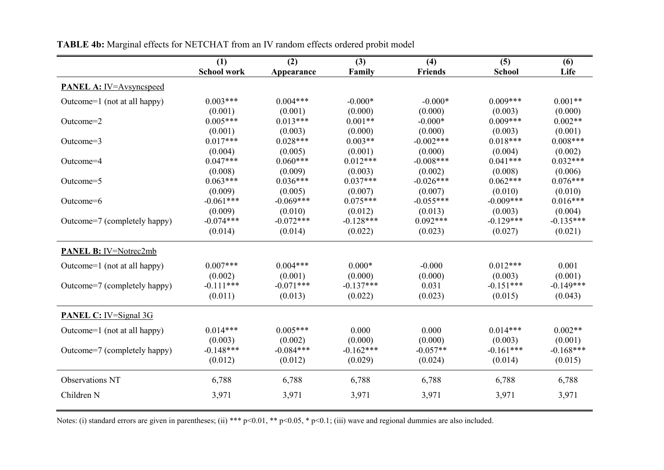|                                | (1)                | (2)         | (3)         | (4)            | (5)           | (6)         |
|--------------------------------|--------------------|-------------|-------------|----------------|---------------|-------------|
|                                | <b>School work</b> | Appearance  | Family      | <b>Friends</b> | <b>School</b> | Life        |
| <b>PANEL A:</b> IV=Avsyncspeed |                    |             |             |                |               |             |
| Outcome=1 (not at all happy)   | $0.003***$         | $0.004***$  | $-0.000*$   | $-0.000*$      | $0.009***$    | $0.001**$   |
|                                | (0.001)            | (0.001)     | (0.000)     | (0.000)        | (0.003)       | (0.000)     |
| Outcome=2                      | $0.005***$         | $0.013***$  | $0.001**$   | $-0.000*$      | $0.009***$    | $0.002**$   |
|                                | (0.001)            | (0.003)     | (0.000)     | (0.000)        | (0.003)       | (0.001)     |
| Outcome=3                      | $0.017***$         | $0.028***$  | $0.003**$   | $-0.002***$    | $0.018***$    | $0.008***$  |
|                                | (0.004)            | (0.005)     | (0.001)     | (0.000)        | (0.004)       | (0.002)     |
| Outcome=4                      | $0.047***$         | $0.060***$  | $0.012***$  | $-0.008***$    | $0.041***$    | $0.032***$  |
|                                | (0.008)            | (0.009)     | (0.003)     | (0.002)        | (0.008)       | (0.006)     |
| Outcome=5                      | $0.063***$         | $0.036***$  | $0.037***$  | $-0.026***$    | $0.062***$    | $0.076***$  |
|                                | (0.009)            | (0.005)     | (0.007)     | (0.007)        | (0.010)       | (0.010)     |
| Outcome=6                      | $-0.061***$        | $-0.069***$ | $0.075***$  | $-0.055***$    | $-0.009***$   | $0.016***$  |
|                                | (0.009)            | (0.010)     | (0.012)     | (0.013)        | (0.003)       | (0.004)     |
| Outcome=7 (completely happy)   | $-0.074***$        | $-0.072***$ | $-0.128***$ | $0.092***$     | $-0.129***$   | $-0.135***$ |
|                                | (0.014)            | (0.014)     | (0.022)     | (0.023)        | (0.027)       | (0.021)     |
| <b>PANEL B:</b> IV=Notrec2mb   |                    |             |             |                |               |             |
| Outcome=1 (not at all happy)   | $0.007***$         | $0.004***$  | $0.000*$    | $-0.000$       | $0.012***$    | 0.001       |
|                                | (0.002)            | (0.001)     | (0.000)     | (0.000)        | (0.003)       | (0.001)     |
| Outcome=7 (completely happy)   | $-0.111***$        | $-0.071***$ | $-0.137***$ | 0.031          | $-0.151***$   | $-0.149***$ |
|                                | (0.011)            | (0.013)     | (0.022)     | (0.023)        | (0.015)       | (0.043)     |
| <b>PANEL C:</b> IV=Signal 3G   |                    |             |             |                |               |             |
| Outcome=1 (not at all happy)   | $0.014***$         | $0.005***$  | 0.000       | 0.000          | $0.014***$    | $0.002**$   |
|                                | (0.003)            | (0.002)     | (0.000)     | (0.000)        | (0.003)       | (0.001)     |
| Outcome=7 (completely happy)   | $-0.148***$        | $-0.084***$ | $-0.162***$ | $-0.057**$     | $-0.161***$   | $-0.168***$ |
|                                | (0.012)            | (0.012)     | (0.029)     | (0.024)        | (0.014)       | (0.015)     |
| <b>Observations NT</b>         | 6,788              | 6,788       | 6,788       | 6,788          | 6,788         | 6,788       |
| Children N                     | 3,971              | 3,971       | 3,971       | 3,971          | 3,971         | 3,971       |
|                                |                    |             |             |                |               |             |

**TABLE 4b:** Marginal effects for NETCHAT from an IV random effects ordered probit model

Notes: (i) standard errors are given in parentheses; (ii) \*\*\* p<0.01, \*\* p<0.05, \* p<0.1; (iii) wave and regional dummies are also included.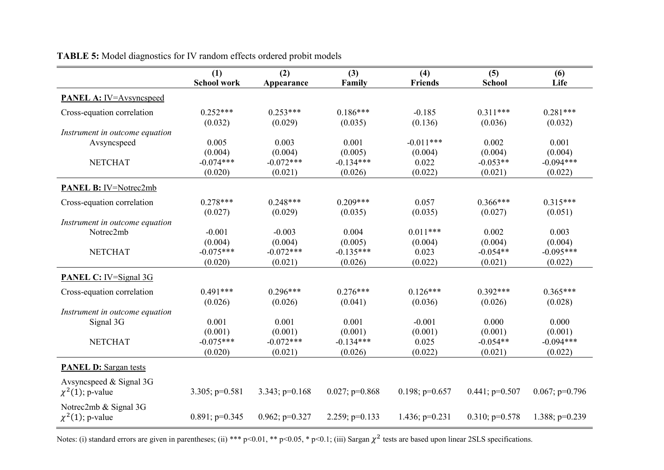|                                | (1)                | (2)               | (3)               | (4)              | (5)                  | (6)               |
|--------------------------------|--------------------|-------------------|-------------------|------------------|----------------------|-------------------|
|                                | <b>School work</b> | Appearance        | Family            | <b>Friends</b>   | <b>School</b>        | Life              |
| <b>PANEL A:</b> IV=Avsyncspeed |                    |                   |                   |                  |                      |                   |
| Cross-equation correlation     | $0.252***$         | $0.253***$        | $0.186***$        | $-0.185$         | $0.311***$           | $0.281***$        |
|                                | (0.032)            | (0.029)           | (0.035)           | (0.136)          | (0.036)              | (0.032)           |
| Instrument in outcome equation |                    |                   |                   |                  |                      |                   |
| Avsyncspeed                    | 0.005              | 0.003             | 0.001             | $-0.011***$      | 0.002                | 0.001             |
|                                | (0.004)            | (0.004)           | (0.005)           | (0.004)          | (0.004)              | (0.004)           |
| <b>NETCHAT</b>                 | $-0.074***$        | $-0.072***$       | $-0.134***$       | 0.022            | $-0.053**$           | $-0.094***$       |
|                                | (0.020)            | (0.021)           | (0.026)           | (0.022)          | (0.021)              | (0.022)           |
| PANEL B: IV=Notrec2mb          |                    |                   |                   |                  |                      |                   |
| Cross-equation correlation     | $0.278***$         | $0.248***$        | $0.209***$        | 0.057            | $0.366***$           | $0.315***$        |
|                                | (0.027)            | (0.029)           | (0.035)           | (0.035)          | (0.027)              | (0.051)           |
| Instrument in outcome equation |                    |                   |                   |                  |                      |                   |
| Notrec2mb                      | $-0.001$           | $-0.003$          | 0.004             | $0.011***$       | 0.002                | 0.003             |
|                                | (0.004)            | (0.004)           | (0.005)           | (0.004)          | (0.004)              | (0.004)           |
| <b>NETCHAT</b>                 | $-0.075***$        | $-0.072***$       | $-0.135***$       | 0.023            | $-0.054**$           | $-0.095***$       |
|                                | (0.020)            | (0.021)           | (0.026)           | (0.022)          | (0.021)              | (0.022)           |
| <b>PANEL C:</b> IV=Signal 3G   |                    |                   |                   |                  |                      |                   |
| Cross-equation correlation     | $0.491***$         | $0.296***$        | $0.276***$        | $0.126***$       | $0.392***$           | $0.365***$        |
|                                | (0.026)            | (0.026)           | (0.041)           | (0.036)          | (0.026)              | (0.028)           |
| Instrument in outcome equation |                    |                   |                   |                  |                      |                   |
| Signal 3G                      | 0.001              | 0.001             | 0.001             | $-0.001$         | 0.000                | 0.000             |
|                                | (0.001)            | (0.001)           | (0.001)           | (0.001)          | (0.001)              | (0.001)           |
| <b>NETCHAT</b>                 | $-0.075***$        | $-0.072***$       | $-0.134***$       | 0.025            | $-0.054**$           | $-0.094***$       |
|                                | (0.020)            | (0.021)           | (0.026)           | (0.022)          | (0.021)              | (0.022)           |
| <b>PANEL D:</b> Sargan tests   |                    |                   |                   |                  |                      |                   |
| Avsyncspeed $&$ Signal 3G      |                    |                   |                   |                  |                      |                   |
| $\chi^2(1)$ ; p-value          | $3.305$ ; p=0.581  | $3.343$ ; p=0.168 | $0.027$ ; p=0.868 | $0.198; p=0.657$ | $0.441$ ; p= $0.507$ | $0.067$ ; p=0.796 |
| Notrec2mb & Signal 3G          |                    |                   |                   |                  |                      |                   |
| $\chi^2(1)$ ; p-value          | $0.891$ ; p=0.345  | $0.962; p=0.327$  | 2.259; $p=0.133$  | 1.436; $p=0.231$ | $0.310$ ; p= $0.578$ | 1.388; $p=0.239$  |

**TABLE 5:** Model diagnostics for IV random effects ordered probit models

Notes: (i) standard errors are given in parentheses; (ii) \*\*\* p<0.01, \*\* p<0.05, \* p<0.1; (iii) Sargan  $\chi^2$  tests are based upon linear 2SLS specifications.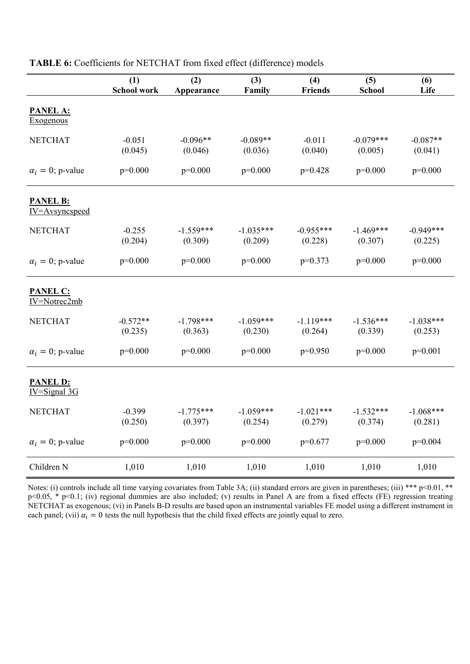|                                     | (1)<br>School work    | (2)<br>Appearance      | (3)<br>Family          | (4)<br><b>Friends</b>  | (5)<br><b>School</b>   | (6)<br>Life            |
|-------------------------------------|-----------------------|------------------------|------------------------|------------------------|------------------------|------------------------|
| PANEL A:<br><b>Exogenous</b>        |                       |                        |                        |                        |                        |                        |
| <b>NETCHAT</b>                      | $-0.051$<br>(0.045)   | $-0.096**$<br>(0.046)  | $-0.089**$<br>(0.036)  | $-0.011$<br>(0.040)    | $-0.079***$<br>(0.005) | $-0.087**$<br>(0.041)  |
| $\alpha_i = 0$ ; p-value            | $p=0.000$             | $p=0.000$              | $p=0.000$              | $p=0.428$              | $p=0.000$              | $p=0.000$              |
| <b>PANEL B:</b><br>IV=Avsyncspeed   |                       |                        |                        |                        |                        |                        |
| <b>NETCHAT</b>                      | $-0.255$<br>(0.204)   | $-1.559***$<br>(0.309) | $-1.035***$<br>(0.209) | $-0.955***$<br>(0.228) | $-1.469***$<br>(0.307) | $-0.949***$<br>(0.225) |
| $\alpha_i = 0$ ; p-value            | $p=0.000$             | $p=0.000$              | $p=0.000$              | $p=0.373$              | $p=0.000$              | $p=0.000$              |
| <b>PANEL C:</b><br>IV=Notrec2mb     |                       |                        |                        |                        |                        |                        |
| <b>NETCHAT</b>                      | $-0.572**$<br>(0.235) | $-1.798***$<br>(0.363) | $-1.059***$<br>(0.230) | $-1.119***$<br>(0.264) | $-1.536***$<br>(0.339) | $-1.038***$<br>(0.253) |
| $\alpha_i = 0$ ; p-value            | $p=0.000$             | $p=0.000$              | $p=0.000$              | $p=0.950$              | $p=0.000$              | $p=0.001$              |
| <b>PANEL D:</b><br>$IV = Signal 3G$ |                       |                        |                        |                        |                        |                        |
| <b>NETCHAT</b>                      | $-0.399$<br>(0.250)   | $-1.775***$<br>(0.397) | $-1.059***$<br>(0.254) | $-1.021***$<br>(0.279) | $-1.532***$<br>(0.374) | $-1.068***$<br>(0.281) |
| $\alpha_i = 0$ ; p-value            | $p=0.000$             | $p=0.000$              | $p=0.000$              | $p=0.677$              | $p=0.000$              | $p=0.004$              |
| Children N                          | 1,010                 | 1,010                  | 1,010                  | 1,010                  | 1,010                  | 1,010                  |

**TABLE 6:** Coefficients for NETCHAT from fixed effect (difference) models

Notes: (i) controls include all time varying covariates from Table 3A; (ii) standard errors are given in parentheses; (iii) \*\*\* p<0.01, \*\* p<0.05, \* p<0.1; (iv) regional dummies are also included; (v) results in Panel A are from a fixed effects (FE) regression treating NETCHAT as exogenous; (vi) in Panels B-D results are based upon an instrumental variables FE model using a different instrument in each panel; (vii)  $\alpha_i = 0$  tests the null hypothesis that the child fixed effects are jointly equal to zero.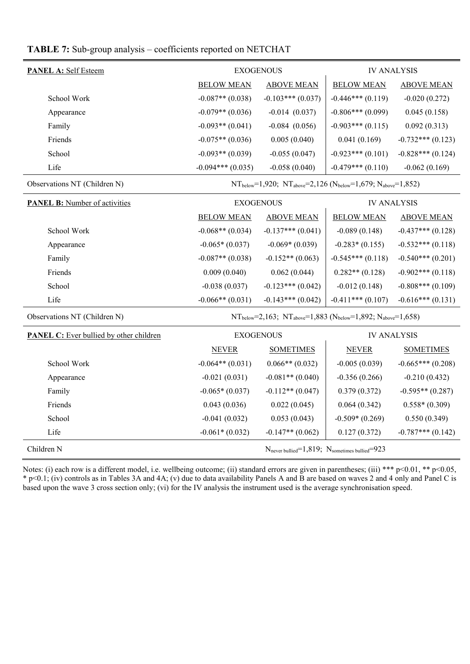#### **TABLE 7:** Sub-group analysis – coefficients reported on NETCHAT

| <b>PANEL A: Self Esteem</b> | <b>EXOGENOUS</b>   |                    | <b>IV ANALYSIS</b> |                     |  |
|-----------------------------|--------------------|--------------------|--------------------|---------------------|--|
|                             | <b>BELOW MEAN</b>  | <b>ABOVE MEAN</b>  | <b>BELOW MEAN</b>  | <b>ABOVE MEAN</b>   |  |
| School Work                 | $-0.087**$ (0.038) | $-0.103***(0.037)$ | $-0.446***(0.119)$ | $-0.020(0.272)$     |  |
| Appearance                  | $-0.079**$ (0.036) | $-0.014(0.037)$    | $-0.806***(0.099)$ | 0.045(0.158)        |  |
| Family                      | $-0.093**$ (0.041) | $-0.084(0.056)$    | $-0.903***(0.115)$ | 0.092(0.313)        |  |
| Friends                     | $-0.075**$ (0.036) | 0.005(0.040)       | 0.041(0.169)       | $-0.732***(0.123)$  |  |
| School                      | $-0.093**$ (0.039) | $-0.055(0.047)$    | $-0.923***(0.101)$ | $-0.828***$ (0.124) |  |
| Life                        | $-0.094***(0.035)$ | $-0.058(0.040)$    | $-0.479***(0.110)$ | $-0.062(0.169)$     |  |

Observations NT (Children N)  $NT_{below}=1,920$ ;  $NT_{above}=2,126$  ( $N_{below}=1,679$ ;  $N_{above}=1,852$ )

| <b>PANEL B:</b> Number of activities |                    | <b>EXOGENOUS</b>       | <b>IV ANALYSIS</b> |                    |  |
|--------------------------------------|--------------------|------------------------|--------------------|--------------------|--|
|                                      | <b>BELOW MEAN</b>  | <b>ABOVE MEAN</b>      | <b>BELOW MEAN</b>  | <b>ABOVE MEAN</b>  |  |
| School Work                          | $-0.068**$ (0.034) | $-0.137***$ $(0.041)$  | $-0.089(0.148)$    | $-0.437***(0.128)$ |  |
| Appearance                           | $-0.065*(0.037)$   | $-0.069*(0.039)$       | $-0.283*(0.155)$   | $-0.532***(0.118)$ |  |
| Family                               | $-0.087**$ (0.038) | $-0.152**$ (0.063)     | $-0.545***(0.118)$ | $-0.540***(0.201)$ |  |
| Friends                              | 0.009(0.040)       | 0.062(0.044)           | $0.282**$ (0.128)  | $-0.902***(0.118)$ |  |
| School                               | $-0.038(0.037)$    | $-0.123$ *** $(0.042)$ | $-0.012(0.148)$    | $-0.808***(0.109)$ |  |
| Life                                 | $-0.066**$ (0.031) | $-0.143***$ (0.042)    | $-0.411***(0.107)$ | $-0.616***(0.131)$ |  |

Observations NT (Children N)  $NT_{below}=2,163; NT_{above}=1,883 (N_{below}=1,892; N_{above}=1,658)$ 

| <b>PANEL C:</b> Ever bullied by other children | <b>EXOGENOUS</b>   |                                                                      | <b>IV ANALYSIS</b> |                     |
|------------------------------------------------|--------------------|----------------------------------------------------------------------|--------------------|---------------------|
|                                                | <b>NEVER</b>       | <b>SOMETIMES</b>                                                     | <b>NEVER</b>       | <b>SOMETIMES</b>    |
| School Work                                    | $-0.064**$ (0.031) | $0.066**$ (0.032)                                                    | $-0.005(0.039)$    | $-0.665***(0.208)$  |
| Appearance                                     | $-0.021(0.031)$    | $-0.081**$ (0.040)                                                   | $-0.356(0.266)$    | $-0.210(0.432)$     |
| Family                                         | $-0.065*(0.037)$   | $-0.112**$ (0.047)                                                   | 0.379(0.372)       | $-0.595**$ (0.287)  |
| Friends                                        | 0.043(0.036)       | 0.022(0.045)                                                         | 0.064(0.342)       | $0.558*(0.309)$     |
| School                                         | $-0.041(0.032)$    | 0.053(0.043)                                                         | $-0.509*(0.269)$   | 0.550(0.349)        |
| Life                                           | $-0.061*(0.032)$   | $-0.147**$ (0.062)                                                   | 0.127(0.372)       | $-0.787***$ (0.142) |
| Children N                                     |                    | $N_{\text{never building}}=1,819; N_{\text{sometimes building}}=923$ |                    |                     |

Notes: (i) each row is a different model, i.e. wellbeing outcome; (ii) standard errors are given in parentheses; (iii) \*\*\* p<0.01, \*\* p<0.05, \* p<0.1; (iv) controls as in Tables 3A and 4A; (v) due to data availability Panels A and B are based on waves 2 and 4 only and Panel C is based upon the wave 3 cross section only; (vi) for the IV analysis the instrument used is the average synchronisation speed.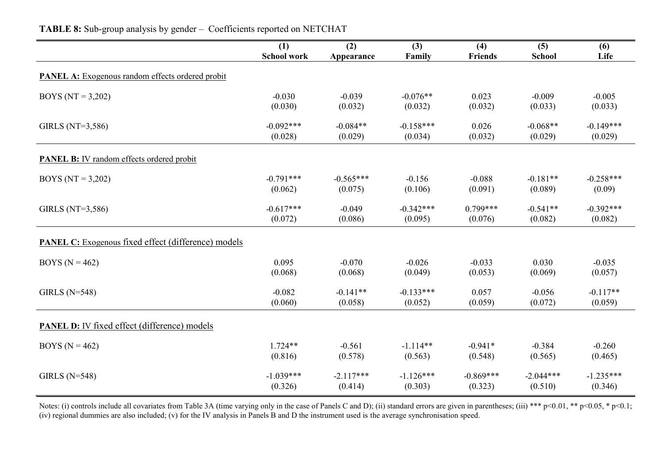|                                                            | (1)                | (2)         | $(3)$       | (4)         | (5)           | (6)         |
|------------------------------------------------------------|--------------------|-------------|-------------|-------------|---------------|-------------|
|                                                            | <b>School work</b> | Appearance  | Family      | Friends     | <b>School</b> | Life        |
| <b>PANEL A:</b> Exogenous random effects ordered probit    |                    |             |             |             |               |             |
| BOYS ( $NT = 3,202$ )                                      | $-0.030$           | $-0.039$    | $-0.076**$  | 0.023       | $-0.009$      | $-0.005$    |
|                                                            | (0.030)            | (0.032)     | (0.032)     | (0.032)     | (0.033)       | (0.033)     |
| GIRLS (NT= $3,586$ )                                       | $-0.092***$        | $-0.084**$  | $-0.158***$ | 0.026       | $-0.068**$    | $-0.149***$ |
|                                                            | (0.028)            | (0.029)     | (0.034)     | (0.032)     | (0.029)       | (0.029)     |
| <b>PANEL B:</b> IV random effects ordered probit           |                    |             |             |             |               |             |
| BOYS (NT = $3,202$ )                                       | $-0.791***$        | $-0.565***$ | $-0.156$    | $-0.088$    | $-0.181**$    | $-0.258***$ |
|                                                            | (0.062)            | (0.075)     | (0.106)     | (0.091)     | (0.089)       | (0.09)      |
| GIRLS (NT= $3,586$ )                                       | $-0.617***$        | $-0.049$    | $-0.342***$ | $0.799***$  | $-0.541**$    | $-0.392***$ |
|                                                            | (0.072)            | (0.086)     | (0.095)     | (0.076)     | (0.082)       | (0.082)     |
| <b>PANEL C:</b> Exogenous fixed effect (difference) models |                    |             |             |             |               |             |
| BOYS ( $N = 462$ )                                         | 0.095              | $-0.070$    | $-0.026$    | $-0.033$    | 0.030         | $-0.035$    |
|                                                            | (0.068)            | (0.068)     | (0.049)     | (0.053)     | (0.069)       | (0.057)     |
| GIRLS $(N=548)$                                            | $-0.082$           | $-0.141**$  | $-0.133***$ | 0.057       | $-0.056$      | $-0.117**$  |
|                                                            | (0.060)            | (0.058)     | (0.052)     | (0.059)     | (0.072)       | (0.059)     |
| <b>PANEL D:</b> IV fixed effect (difference) models        |                    |             |             |             |               |             |
| BOYS ( $N = 462$ )                                         | $1.724**$          | $-0.561$    | $-1.114**$  | $-0.941*$   | $-0.384$      | $-0.260$    |
|                                                            | (0.816)            | (0.578)     | (0.563)     | (0.548)     | (0.565)       | (0.465)     |
| GIRLS $(N=548)$                                            | $-1.039***$        | $-2.117***$ | $-1.126***$ | $-0.869***$ | $-2.044***$   | $-1.235***$ |
|                                                            | (0.326)            | (0.414)     | (0.303)     | (0.323)     | (0.510)       | (0.346)     |

### **TABLE 8:** Sub-group analysis by gender – Coefficients reported on NETCHAT

Notes: (i) controls include all covariates from Table 3A (time varying only in the case of Panels C and D); (ii) standard errors are given in parentheses; (iii) \*\*\* p<0.01, \*\* p<0.05, \* p<0.1; (iv) regional dummies are also included; (v) for the IV analysis in Panels B and D the instrument used is the average synchronisation speed.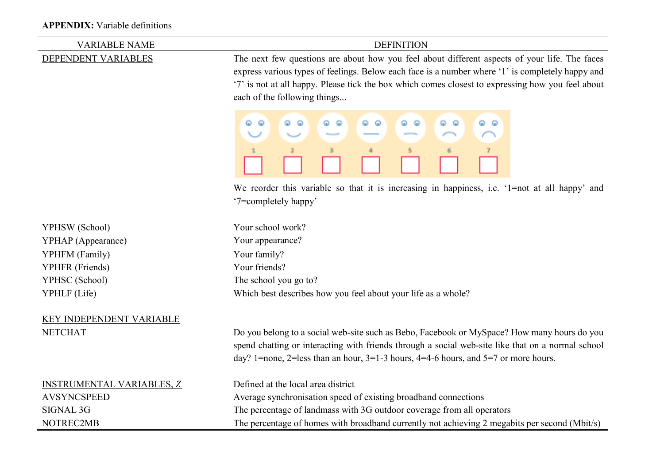### **APPENDIX:** Variable definitions

| <b>VARIABLE NAME</b>                                                                                                                                                                                                                                                                                                                                          | <b>DEFINITION</b>                                                                                                                                                                                                                                                                            |  |  |  |
|---------------------------------------------------------------------------------------------------------------------------------------------------------------------------------------------------------------------------------------------------------------------------------------------------------------------------------------------------------------|----------------------------------------------------------------------------------------------------------------------------------------------------------------------------------------------------------------------------------------------------------------------------------------------|--|--|--|
| The next few questions are about how you feel about different aspects of your life. The faces<br>DEPENDENT VARIABLES<br>express various types of feelings. Below each face is a number where '1' is completely happy and<br>'7' is not at all happy. Please tick the box which comes closest to expressing how you feel about<br>each of the following things |                                                                                                                                                                                                                                                                                              |  |  |  |
|                                                                                                                                                                                                                                                                                                                                                               | ۵<br>œ.<br>o.<br>Θ<br>. .<br>Φ<br>െ<br>00<br>31<br>5.<br>6<br>7.                                                                                                                                                                                                                             |  |  |  |
|                                                                                                                                                                                                                                                                                                                                                               | We reorder this variable so that it is increasing in happiness, i.e. '1=not at all happy' and<br>'7=completely happy'                                                                                                                                                                        |  |  |  |
| YPHSW (School)                                                                                                                                                                                                                                                                                                                                                | Your school work?                                                                                                                                                                                                                                                                            |  |  |  |
| YPHAP (Appearance)                                                                                                                                                                                                                                                                                                                                            | Your appearance?                                                                                                                                                                                                                                                                             |  |  |  |
| YPHFM (Family)                                                                                                                                                                                                                                                                                                                                                | Your family?                                                                                                                                                                                                                                                                                 |  |  |  |
| YPHFR (Friends)                                                                                                                                                                                                                                                                                                                                               | Your friends?                                                                                                                                                                                                                                                                                |  |  |  |
| YPHSC (School)                                                                                                                                                                                                                                                                                                                                                | The school you go to?                                                                                                                                                                                                                                                                        |  |  |  |
| YPHLF (Life)                                                                                                                                                                                                                                                                                                                                                  | Which best describes how you feel about your life as a whole?                                                                                                                                                                                                                                |  |  |  |
| KEY INDEPENDENT VARIABLE                                                                                                                                                                                                                                                                                                                                      |                                                                                                                                                                                                                                                                                              |  |  |  |
| <b>NETCHAT</b>                                                                                                                                                                                                                                                                                                                                                | Do you belong to a social web-site such as Bebo, Facebook or MySpace? How many hours do you<br>spend chatting or interacting with friends through a social web-site like that on a normal school<br>day? 1=none, 2=less than an hour, $3=1-3$ hours, $4=4-6$ hours, and $5=7$ or more hours. |  |  |  |
| <b>INSTRUMENTAL VARIABLES, Z</b>                                                                                                                                                                                                                                                                                                                              | Defined at the local area district                                                                                                                                                                                                                                                           |  |  |  |
| <b>AVSYNCSPEED</b>                                                                                                                                                                                                                                                                                                                                            | Average synchronisation speed of existing broadband connections                                                                                                                                                                                                                              |  |  |  |
| <b>SIGNAL 3G</b>                                                                                                                                                                                                                                                                                                                                              | The percentage of landmass with 3G outdoor coverage from all operators                                                                                                                                                                                                                       |  |  |  |
| NOTREC2MB                                                                                                                                                                                                                                                                                                                                                     | The percentage of homes with broadband currently not achieving 2 megabits per second (Mbit/s)                                                                                                                                                                                                |  |  |  |